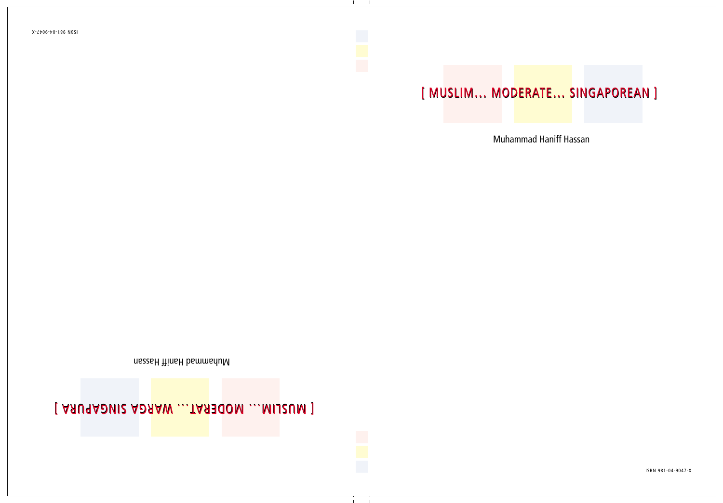### [ MUSLIM... MODERATE... SINGAPOREAN ]

**Muhammad Haniff Hassan**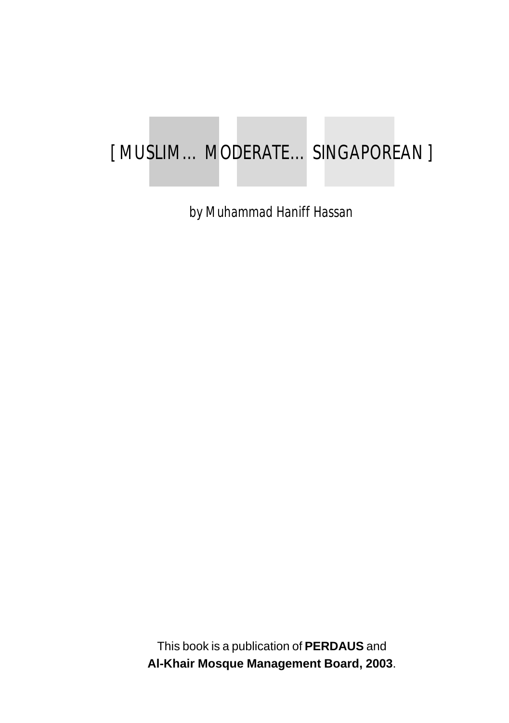### [ MUSLIM… MODERATE… SINGAPOREAN ]

by Muhammad Haniff Hassan

This book is a publication of **PERDAUS** and **Al-Khair Mosque Management Board, 2003**.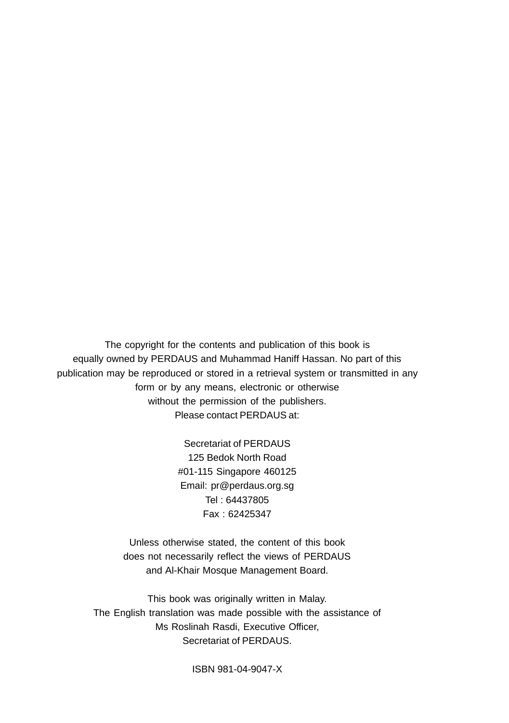The copyright for the contents and publication of this book is equally owned by PERDAUS and Muhammad Haniff Hassan. No part of this publication may be reproduced or stored in a retrieval system or transmitted in any form or by any means, electronic or otherwise without the permission of the publishers. Please contact PERDAUS at:

> Secretariat of PERDAUS 125 Bedok North Road #01-115 Singapore 460125 Email: pr@perdaus.org.sg Tel : 64437805 Fax : 62425347

Unless otherwise stated, the content of this book does not necessarily reflect the views of PERDAUS and Al-Khair Mosque Management Board.

This book was originally written in Malay. The English translation was made possible with the assistance of Ms Roslinah Rasdi, Executive Officer, Secretariat of PERDAUS.

ISBN 981-04-9047-X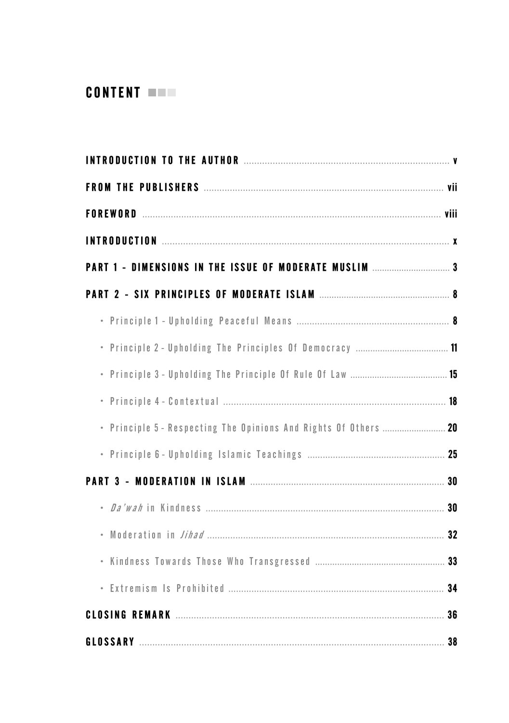### **CONTENT WWW.**

| • Principle 5 - Respecting The Opinions And Rights Of Others  20 |  |
|------------------------------------------------------------------|--|
|                                                                  |  |
|                                                                  |  |
|                                                                  |  |
|                                                                  |  |
|                                                                  |  |
|                                                                  |  |
|                                                                  |  |
| GLOSSARY 38                                                      |  |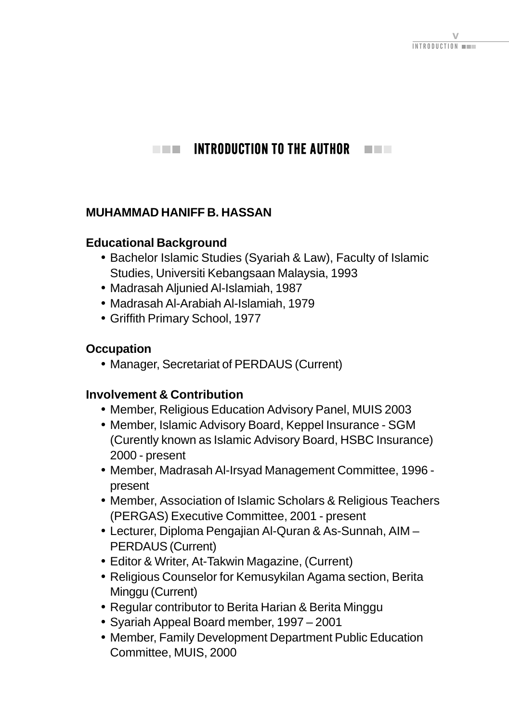#### <span id="page-5-0"></span> $\blacksquare$  INTRODUCTION TO THE AUTHOR **The College**

### **MUHAMMAD HANIFF B. HASSAN**

#### **Educational Background**

- Bachelor Islamic Studies (Syariah & Law), Faculty of Islamic Studies, Universiti Kebangsaan Malaysia, 1993
- Madrasah Aljunied Al-Islamiah, 1987
- Madrasah Al-Arabiah Al-Islamiah, 1979
- Griffith Primary School, 1977

### **Occupation**

• Manager, Secretariat of PERDAUS (Current)

### **Involvement & Contribution**

- Member, Religious Education Advisory Panel, MUIS 2003
- Member, Islamic Advisory Board, Keppel Insurance SGM (Curently known as Islamic Advisory Board, HSBC Insurance) 2000 - present
- Member, Madrasah Al-Irsyad Management Committee, 1996 present
- Member, Association of Islamic Scholars & Religious Teachers (PERGAS) Executive Committee, 2001 - present
- Lecturer, Diploma Pengajian Al-Quran & As-Sunnah, AIM PERDAUS (Current)
- Editor & Writer, At-Takwin Magazine, (Current)
- Religious Counselor for Kemusykilan Agama section, Berita Minggu (Current)
- Regular contributor to Berita Harian & Berita Minggu
- Syariah Appeal Board member, 1997 2001
- Member, Family Development Department Public Education Committee, MUIS, 2000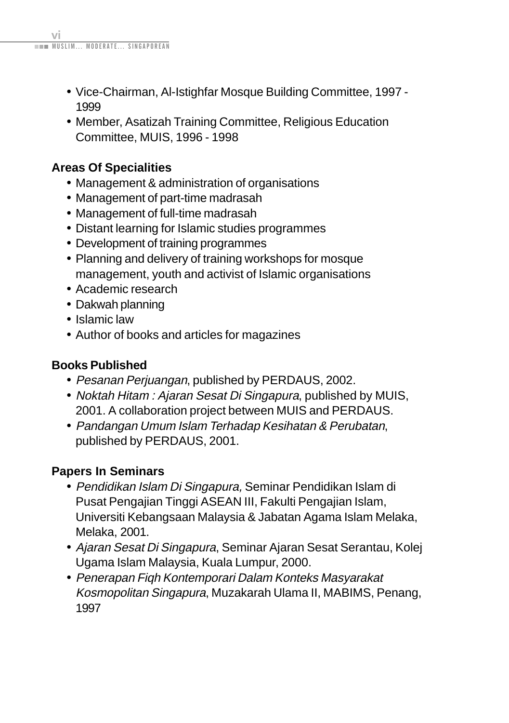- Vice-Chairman, Al-Istighfar Mosque Building Committee, 1997 1999
- Member, Asatizah Training Committee, Religious Education Committee, MUIS, 1996 - 1998

### **Areas Of Specialities**

- Management & administration of organisations
- Management of part-time madrasah
- Management of full-time madrasah
- Distant learning for Islamic studies programmes
- Development of training programmes
- Planning and delivery of training workshops for mosque management, youth and activist of Islamic organisations
- Academic research
- Dakwah planning
- Islamic law
- Author of books and articles for magazines

### **Books Published**

- Pesanan Perjuangan, published by PERDAUS, 2002.
- Noktah Hitam : Ajaran Sesat Di Singapura, published by MUIS, 2001. A collaboration project between MUIS and PERDAUS.
- Pandangan Umum Islam Terhadap Kesihatan & Perubatan, published by PERDAUS, 2001.

### **Papers In Seminars**

- Pendidikan Islam Di Singapura, Seminar Pendidikan Islam di Pusat Pengajian Tinggi ASEAN III, Fakulti Pengajian Islam, Universiti Kebangsaan Malaysia & Jabatan Agama Islam Melaka, Melaka, 2001.
- Ajaran Sesat Di Singapura, Seminar Ajaran Sesat Serantau, Kolej Ugama Islam Malaysia, Kuala Lumpur, 2000.
- Penerapan Fiqh Kontemporari Dalam Konteks Masyarakat Kosmopolitan Singapura, Muzakarah Ulama II, MABIMS, Penang, 1997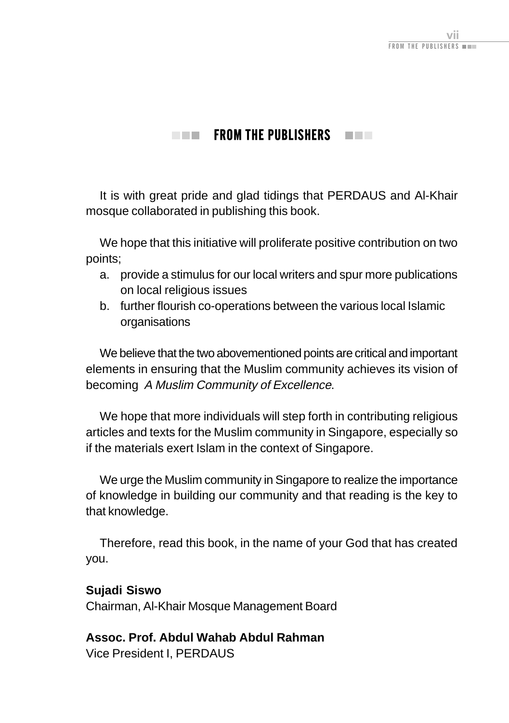### $\blacksquare$  From the publishers  $\blacksquare$   $\blacksquare$

<span id="page-7-0"></span>It is with great pride and glad tidings that PERDAUS and Al-Khair mosque collaborated in publishing this book.

We hope that this initiative will proliferate positive contribution on two points;

- a. provide a stimulus for our local writers and spur more publications on local religious issues
- b. further flourish co-operations between the various local Islamic organisations

We believe that the two abovementioned points are critical and important elements in ensuring that the Muslim community achieves its vision of becoming A Muslim Community of Excellence.

We hope that more individuals will step forth in contributing religious articles and texts for the Muslim community in Singapore, especially so if the materials exert Islam in the context of Singapore.

We urge the Muslim community in Singapore to realize the importance of knowledge in building our community and that reading is the key to that knowledge.

Therefore, read this book, in the name of your God that has created you.

#### **Sujadi Siswo**

Chairman, Al-Khair Mosque Management Board

### **Assoc. Prof. Abdul Wahab Abdul Rahman**

Vice President I, PERDAUS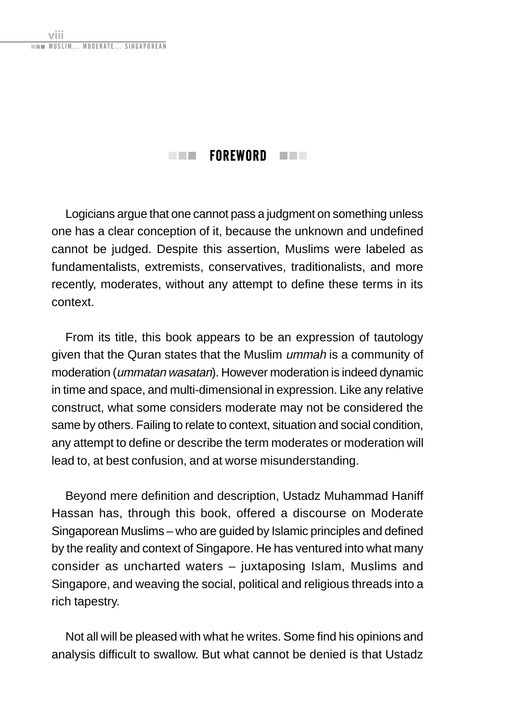<span id="page-8-0"></span>.<br>IM MODERATE SINGAPOREAN

viii

### $\blacksquare$  FOREWORD  $\blacksquare$

Logicians argue that one cannot pass a judgment on something unless one has a clear conception of it, because the unknown and undefined cannot be judged. Despite this assertion, Muslims were labeled as fundamentalists, extremists, conservatives, traditionalists, and more recently, moderates, without any attempt to define these terms in its context.

From its title, this book appears to be an expression of tautology given that the Quran states that the Muslim ummah is a community of moderation (ummatan wasatan). However moderation is indeed dynamic in time and space, and multi-dimensional in expression. Like any relative construct, what some considers moderate may not be considered the same by others. Failing to relate to context, situation and social condition, any attempt to define or describe the term moderates or moderation will lead to, at best confusion, and at worse misunderstanding.

Beyond mere definition and description, Ustadz Muhammad Haniff Hassan has, through this book, offered a discourse on Moderate Singaporean Muslims – who are guided by Islamic principles and defined by the reality and context of Singapore. He has ventured into what many consider as uncharted waters – juxtaposing Islam, Muslims and Singapore, and weaving the social, political and religious threads into a rich tapestry.

Not all will be pleased with what he writes. Some find his opinions and analysis difficult to swallow. But what cannot be denied is that Ustadz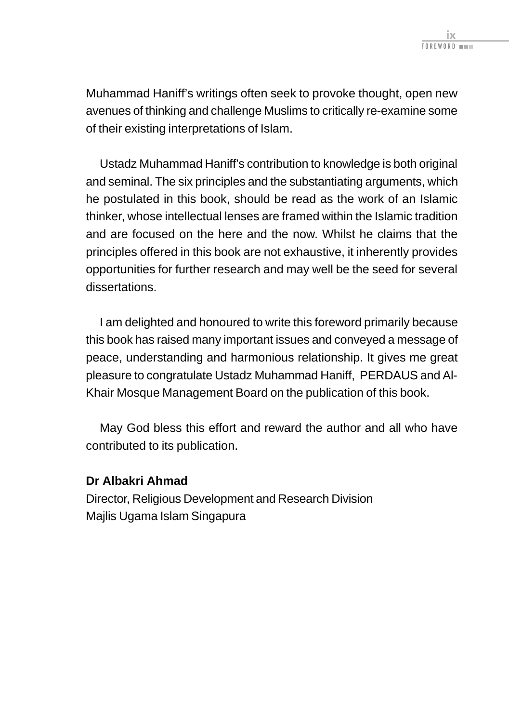Muhammad Haniff's writings often seek to provoke thought, open new avenues of thinking and challenge Muslims to critically re-examine some of their existing interpretations of Islam.

Ustadz Muhammad Haniff's contribution to knowledge is both original and seminal. The six principles and the substantiating arguments, which he postulated in this book, should be read as the work of an Islamic thinker, whose intellectual lenses are framed within the Islamic tradition and are focused on the here and the now. Whilst he claims that the principles offered in this book are not exhaustive, it inherently provides opportunities for further research and may well be the seed for several dissertations.

I am delighted and honoured to write this foreword primarily because this book has raised many important issues and conveyed a message of peace, understanding and harmonious relationship. It gives me great pleasure to congratulate Ustadz Muhammad Haniff, PERDAUS and Al-Khair Mosque Management Board on the publication of this book.

May God bless this effort and reward the author and all who have contributed to its publication.

#### **Dr Albakri Ahmad**

Director, Religious Development and Research Division Majlis Ugama Islam Singapura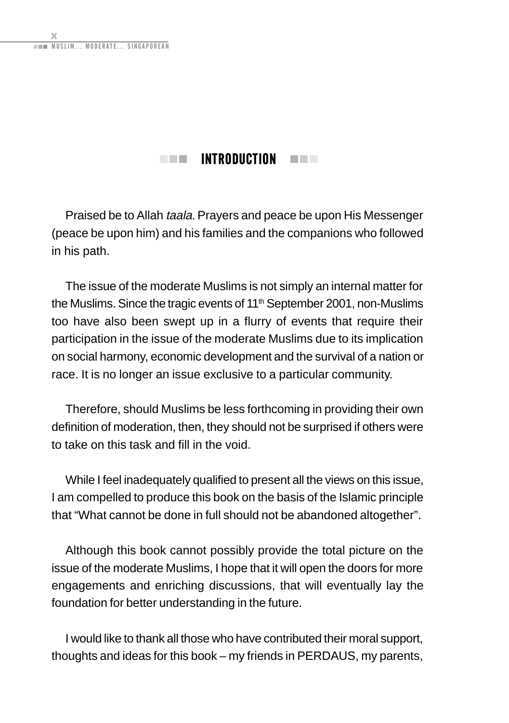### $\blacksquare$  INTRODUCTION  $\blacksquare$

<span id="page-10-0"></span>Praised be to Allah taala. Prayers and peace be upon His Messenger (peace be upon him) and his families and the companions who followed in his path.

The issue of the moderate Muslims is not simply an internal matter for the Muslims. Since the tragic events of 11<sup>th</sup> September 2001, non-Muslims too have also been swept up in a flurry of events that require their participation in the issue of the moderate Muslims due to its implication on social harmony, economic development and the survival of a nation or race. It is no longer an issue exclusive to a particular community.

Therefore, should Muslims be less forthcoming in providing their own definition of moderation, then, they should not be surprised if others were to take on this task and fill in the void.

While I feel inadequately qualified to present all the views on this issue, I am compelled to produce this book on the basis of the Islamic principle that "What cannot be done in full should not be abandoned altogether".

Although this book cannot possibly provide the total picture on the issue of the moderate Muslims, I hope that it will open the doors for more engagements and enriching discussions, that will eventually lay the foundation for better understanding in the future.

I would like to thank all those who have contributed their moral support, thoughts and ideas for this book – my friends in PERDAUS, my parents,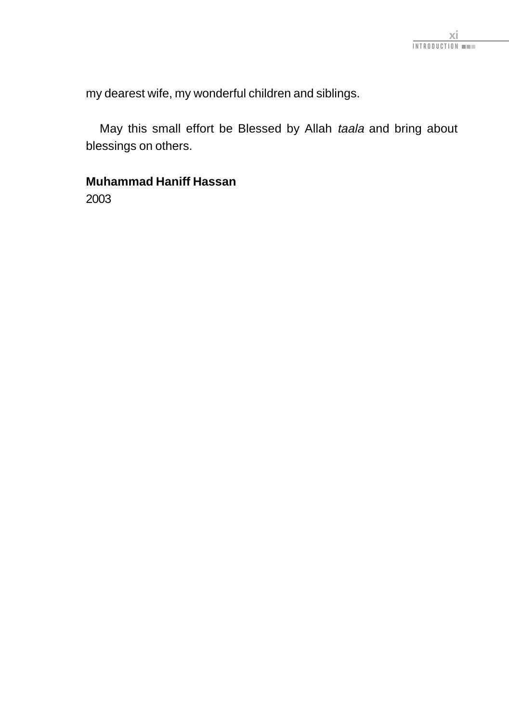my dearest wife, my wonderful children and siblings.

May this small effort be Blessed by Allah taala and bring about blessings on others.

### **Muhammad Haniff Hassan**

2003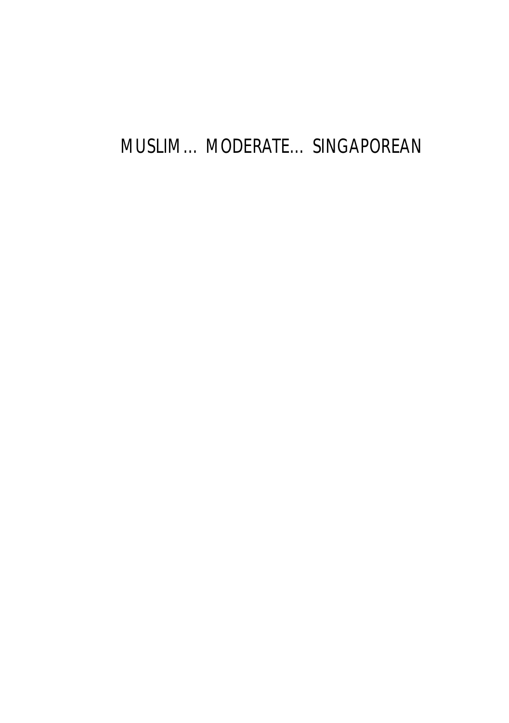### MUSLIM… MODERATE… SINGAPOREAN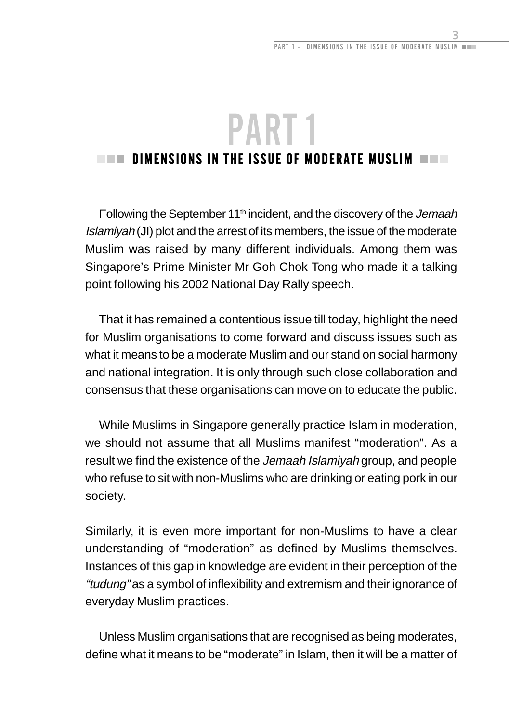## <span id="page-15-0"></span>PART 1  $\blacksquare$  dimensions in the issue of moderate muslim  $\blacksquare$   $\blacksquare$

Following the September 11<sup>th</sup> incident, and the discovery of the Jemaah Islamiyah (JI) plot and the arrest of its members, the issue of the moderate Muslim was raised by many different individuals. Among them was Singapore's Prime Minister Mr Goh Chok Tong who made it a talking point following his 2002 National Day Rally speech.

That it has remained a contentious issue till today, highlight the need for Muslim organisations to come forward and discuss issues such as what it means to be a moderate Muslim and our stand on social harmony and national integration. It is only through such close collaboration and consensus that these organisations can move on to educate the public.

While Muslims in Singapore generally practice Islam in moderation, we should not assume that all Muslims manifest "moderation". As a result we find the existence of the Jemaah Islamiyah group, and people who refuse to sit with non-Muslims who are drinking or eating pork in our society.

Similarly, it is even more important for non-Muslims to have a clear understanding of "moderation" as defined by Muslims themselves. Instances of this gap in knowledge are evident in their perception of the "tudung" as a symbol of inflexibility and extremism and their ignorance of everyday Muslim practices.

Unless Muslim organisations that are recognised as being moderates, define what it means to be "moderate" in Islam, then it will be a matter of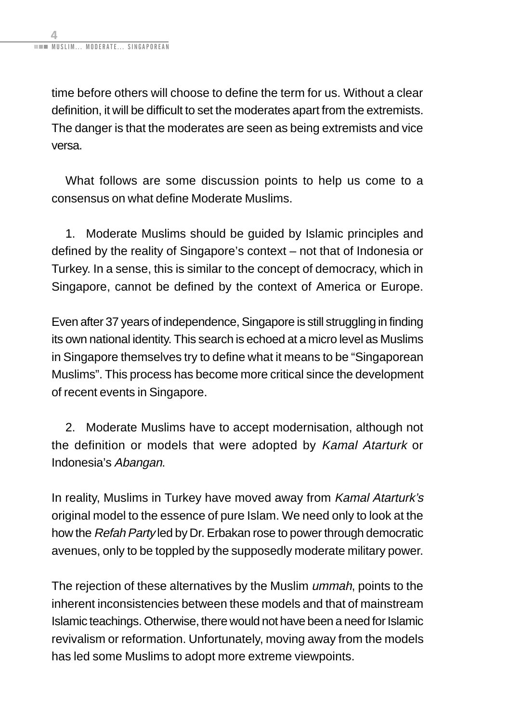time before others will choose to define the term for us. Without a clear definition, it will be difficult to set the moderates apart from the extremists. The danger is that the moderates are seen as being extremists and vice versa.

What follows are some discussion points to help us come to a consensus on what define Moderate Muslims.

1. Moderate Muslims should be guided by Islamic principles and defined by the reality of Singapore's context – not that of Indonesia or Turkey. In a sense, this is similar to the concept of democracy, which in Singapore, cannot be defined by the context of America or Europe.

Even after 37 years of independence, Singapore is still struggling in finding its own national identity. This search is echoed at a micro level as Muslims in Singapore themselves try to define what it means to be "Singaporean Muslims". This process has become more critical since the development of recent events in Singapore.

2. Moderate Muslims have to accept modernisation, although not the definition or models that were adopted by Kamal Atarturk or Indonesia's Abangan.

In reality, Muslims in Turkey have moved away from Kamal Atarturk's original model to the essence of pure Islam. We need only to look at the how the Refah Party led by Dr. Erbakan rose to power through democratic avenues, only to be toppled by the supposedly moderate military power.

The rejection of these alternatives by the Muslim *ummah*, points to the inherent inconsistencies between these models and that of mainstream Islamic teachings. Otherwise, there would not have been a need for Islamic revivalism or reformation. Unfortunately, moving away from the models has led some Muslims to adopt more extreme viewpoints.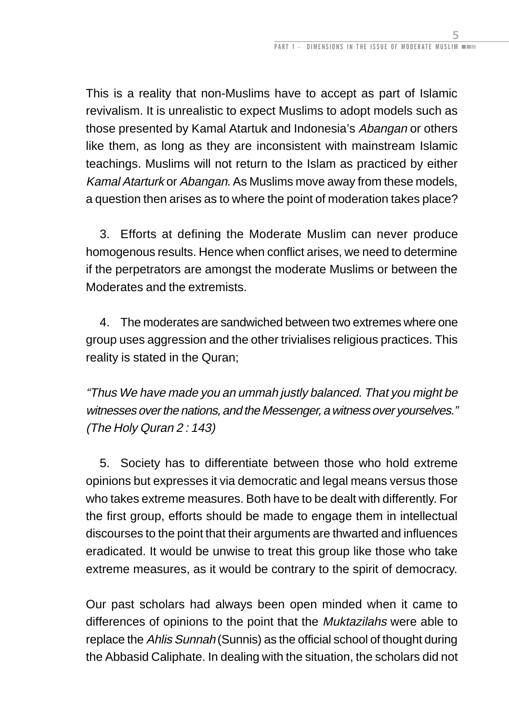This is a reality that non-Muslims have to accept as part of Islamic revivalism. It is unrealistic to expect Muslims to adopt models such as those presented by Kamal Atartuk and Indonesia's Abangan or others like them, as long as they are inconsistent with mainstream Islamic teachings. Muslims will not return to the Islam as practiced by either Kamal Atarturk or Abangan. As Muslims move away from these models, a question then arises as to where the point of moderation takes place?

3. Efforts at defining the Moderate Muslim can never produce homogenous results. Hence when conflict arises, we need to determine if the perpetrators are amongst the moderate Muslims or between the Moderates and the extremists.

4. The moderates are sandwiched between two extremes where one group uses aggression and the other trivialises religious practices. This reality is stated in the Quran;

"Thus We have made you an ummah justly balanced. That you might be witnesses over the nations, and the Messenger, a witness over yourselves." (The Holy Quran 2 : 143)

5. Society has to differentiate between those who hold extreme opinions but expresses it via democratic and legal means versus those who takes extreme measures. Both have to be dealt with differently. For the first group, efforts should be made to engage them in intellectual discourses to the point that their arguments are thwarted and influences eradicated. It would be unwise to treat this group like those who take extreme measures, as it would be contrary to the spirit of democracy.

Our past scholars had always been open minded when it came to differences of opinions to the point that the *Muktazilahs* were able to replace the Ahlis Sunnah (Sunnis) as the official school of thought during the Abbasid Caliphate. In dealing with the situation, the scholars did not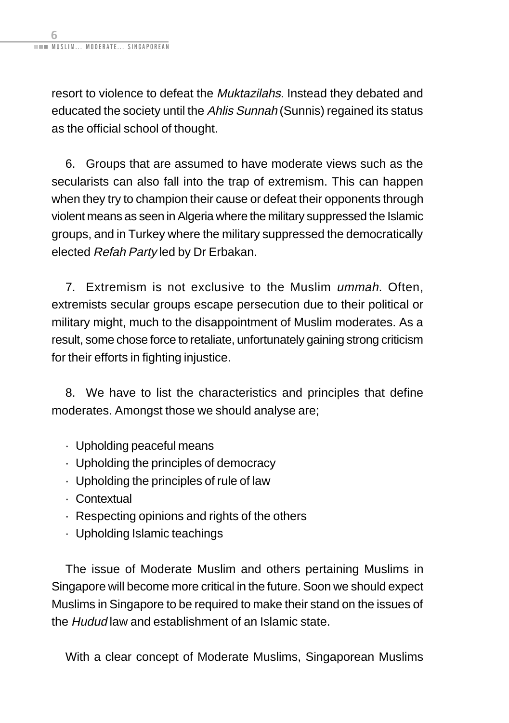resort to violence to defeat the Muktazilahs. Instead they debated and educated the society until the Ahlis Sunnah (Sunnis) regained its status as the official school of thought.

6. Groups that are assumed to have moderate views such as the secularists can also fall into the trap of extremism. This can happen when they try to champion their cause or defeat their opponents through violent means as seen in Algeria where the military suppressed the Islamic groups, and in Turkey where the military suppressed the democratically elected Refah Party led by Dr Erbakan.

7. Extremism is not exclusive to the Muslim ummah. Often, extremists secular groups escape persecution due to their political or military might, much to the disappointment of Muslim moderates. As a result, some chose force to retaliate, unfortunately gaining strong criticism for their efforts in fighting injustice.

8. We have to list the characteristics and principles that define moderates. Amongst those we should analyse are;

- · Upholding peaceful means
- · Upholding the principles of democracy
- · Upholding the principles of rule of law
- · Contextual
- · Respecting opinions and rights of the others
- · Upholding Islamic teachings

The issue of Moderate Muslim and others pertaining Muslims in Singapore will become more critical in the future. Soon we should expect Muslims in Singapore to be required to make their stand on the issues of the Hudud law and establishment of an Islamic state.

With a clear concept of Moderate Muslims, Singaporean Muslims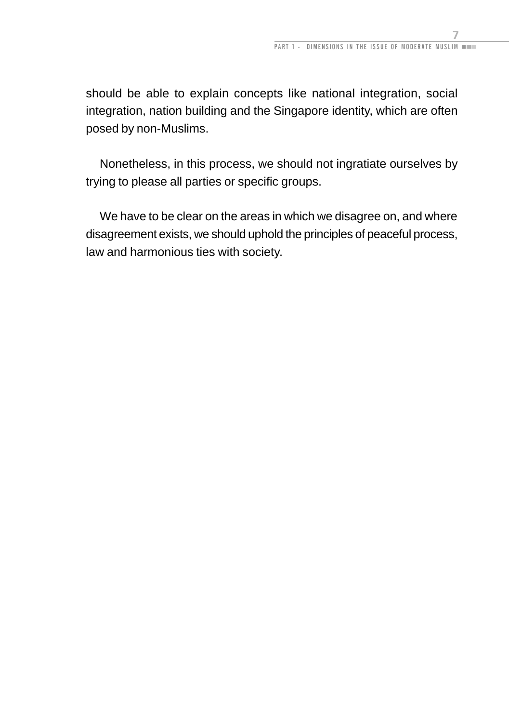should be able to explain concepts like national integration, social integration, nation building and the Singapore identity, which are often posed by non-Muslims.

Nonetheless, in this process, we should not ingratiate ourselves by trying to please all parties or specific groups.

We have to be clear on the areas in which we disagree on, and where disagreement exists, we should uphold the principles of peaceful process, law and harmonious ties with society.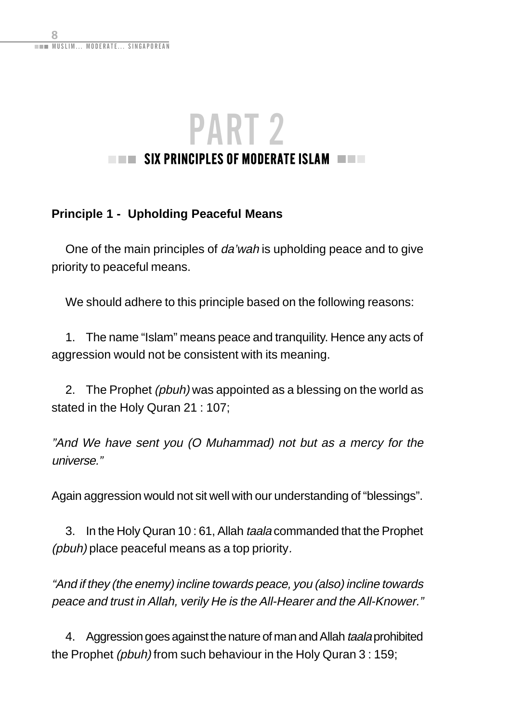### <span id="page-20-0"></span>PART 2  $\blacksquare$  Six principles of moderate islam  $\blacksquare$

### **Principle 1 - Upholding Peaceful Means**

One of the main principles of da'wah is upholding peace and to give priority to peaceful means.

We should adhere to this principle based on the following reasons:

1. The name "Islam" means peace and tranquility. Hence any acts of aggression would not be consistent with its meaning.

2. The Prophet (pbuh) was appointed as a blessing on the world as stated in the Holy Quran 21 : 107;

"And We have sent you (O Muhammad) not but as a mercy for the universe."

Again aggression would not sit well with our understanding of "blessings".

3. In the Holy Quran 10:61, Allah taala commanded that the Prophet (pbuh) place peaceful means as a top priority.

"And if they (the enemy) incline towards peace, you (also) incline towards peace and trust in Allah, verily He is the All-Hearer and the All-Knower."

4. Aggression goes against the nature of man and Allah taala prohibited the Prophet (pbuh) from such behaviour in the Holy Quran 3 : 159;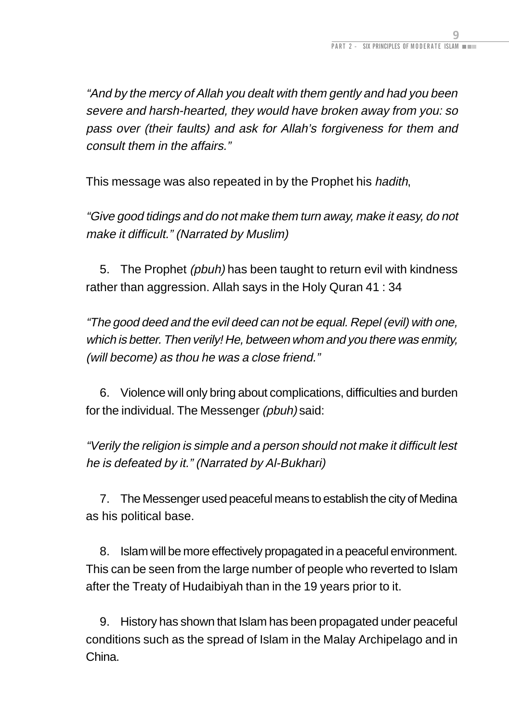"And by the mercy of Allah you dealt with them gently and had you been severe and harsh-hearted, they would have broken away from you: so pass over (their faults) and ask for Allah's forgiveness for them and consult them in the affairs."

This message was also repeated in by the Prophet his hadith,

"Give good tidings and do not make them turn away, make it easy, do not make it difficult." (Narrated by Muslim)

5. The Prophet (pbuh) has been taught to return evil with kindness rather than aggression. Allah says in the Holy Quran 41 : 34

"The good deed and the evil deed can not be equal. Repel (evil) with one, which is better. Then verily! He, between whom and you there was enmity, (will become) as thou he was a close friend."

6. Violence will only bring about complications, difficulties and burden for the individual. The Messenger (pbuh) said:

"Verily the religion is simple and a person should not make it difficult lest he is defeated by it." (Narrated by Al-Bukhari)

7. The Messenger used peaceful means to establish the city of Medina as his political base.

8. Islam will be more effectively propagated in a peaceful environment. This can be seen from the large number of people who reverted to Islam after the Treaty of Hudaibiyah than in the 19 years prior to it.

9. History has shown that Islam has been propagated under peaceful conditions such as the spread of Islam in the Malay Archipelago and in China.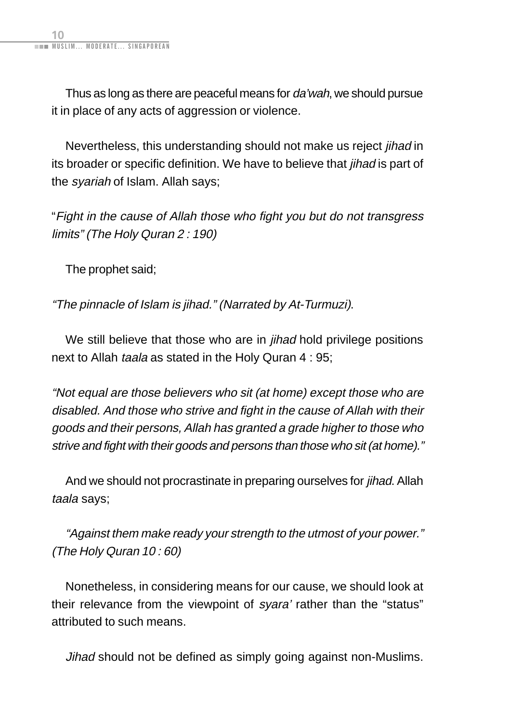Thus as long as there are peaceful means for *da'wah*, we should pursue it in place of any acts of aggression or violence.

Nevertheless, this understanding should not make us reject jihad in its broader or specific definition. We have to believe that *iihad* is part of the syariah of Islam. Allah says;

"Fight in the cause of Allah those who fight you but do not transgress limits" (The Holy Quran 2 : 190)

The prophet said;

"The pinnacle of Islam is jihad." (Narrated by At-Turmuzi).

We still believe that those who are in *jihad* hold privilege positions next to Allah taala as stated in the Holy Quran 4 : 95;

"Not equal are those believers who sit (at home) except those who are disabled. And those who strive and fight in the cause of Allah with their goods and their persons, Allah has granted a grade higher to those who strive and fight with their goods and persons than those who sit (at home)."

And we should not procrastinate in preparing ourselves for jihad. Allah taala says;

"Against them make ready your strength to the utmost of your power." (The Holy Quran 10 : 60)

Nonetheless, in considering means for our cause, we should look at their relevance from the viewpoint of syara' rather than the "status" attributed to such means.

Jihad should not be defined as simply going against non-Muslims.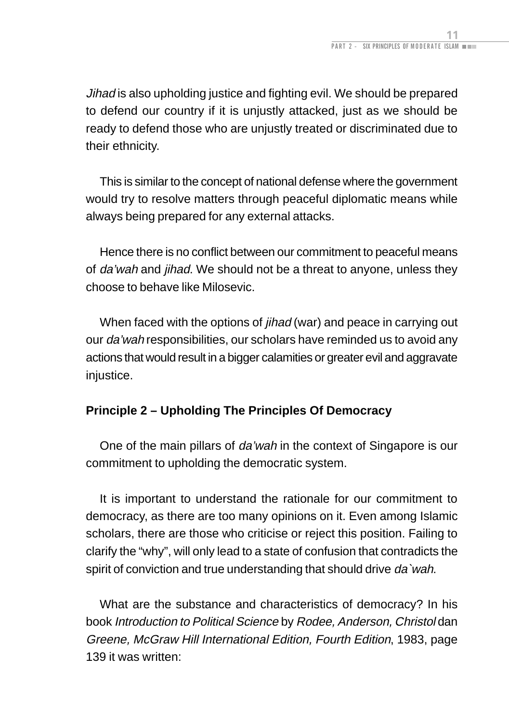<span id="page-23-0"></span>Jihad is also upholding justice and fighting evil. We should be prepared to defend our country if it is unjustly attacked, just as we should be ready to defend those who are unjustly treated or discriminated due to their ethnicity.

This is similar to the concept of national defense where the government would try to resolve matters through peaceful diplomatic means while always being prepared for any external attacks.

Hence there is no conflict between our commitment to peaceful means of da'wah and jihad. We should not be a threat to anyone, unless they choose to behave like Milosevic.

When faced with the options of *jihad* (war) and peace in carrying out our da'wah responsibilities, our scholars have reminded us to avoid any actions that would result in a bigger calamities or greater evil and aggravate injustice.

### **Principle 2 – Upholding The Principles Of Democracy**

One of the main pillars of da'wah in the context of Singapore is our commitment to upholding the democratic system.

It is important to understand the rationale for our commitment to democracy, as there are too many opinions on it. Even among Islamic scholars, there are those who criticise or reject this position. Failing to clarify the "why", will only lead to a state of confusion that contradicts the spirit of conviction and true understanding that should drive da'wah.

What are the substance and characteristics of democracy? In his book Introduction to Political Science by Rodee, Anderson, Christol dan Greene, McGraw Hill International Edition, Fourth Edition, 1983, page 139 it was written: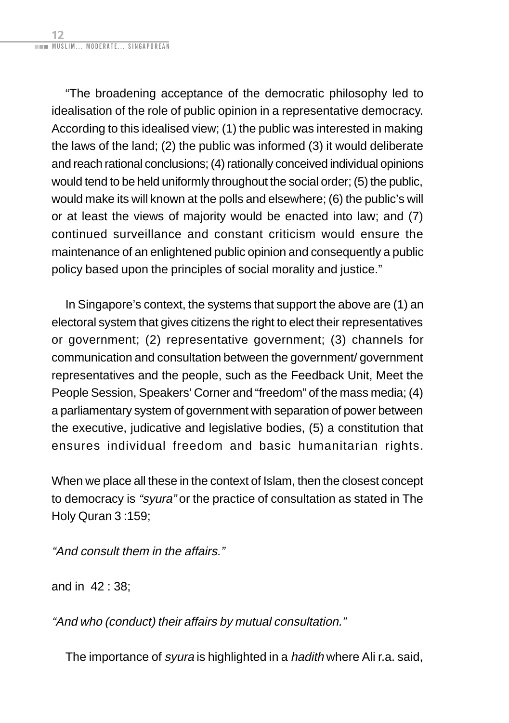"The broadening acceptance of the democratic philosophy led to idealisation of the role of public opinion in a representative democracy. According to this idealised view; (1) the public was interested in making the laws of the land; (2) the public was informed (3) it would deliberate and reach rational conclusions; (4) rationally conceived individual opinions would tend to be held uniformly throughout the social order; (5) the public, would make its will known at the polls and elsewhere; (6) the public's will or at least the views of majority would be enacted into law; and (7) continued surveillance and constant criticism would ensure the maintenance of an enlightened public opinion and consequently a public policy based upon the principles of social morality and justice."

In Singapore's context, the systems that support the above are (1) an electoral system that gives citizens the right to elect their representatives or government; (2) representative government; (3) channels for communication and consultation between the government/ government representatives and the people, such as the Feedback Unit, Meet the People Session, Speakers' Corner and "freedom" of the mass media; (4) a parliamentary system of government with separation of power between the executive, judicative and legislative bodies, (5) a constitution that ensures individual freedom and basic humanitarian rights.

When we place all these in the context of Islam, then the closest concept to democracy is "syura" or the practice of consultation as stated in The Holy Quran 3 :159;

"And consult them in the affairs."

and in 42 : 38;

"And who (conduct) their affairs by mutual consultation."

The importance of *syura* is highlighted in a *hadith* where Ali r.a. said,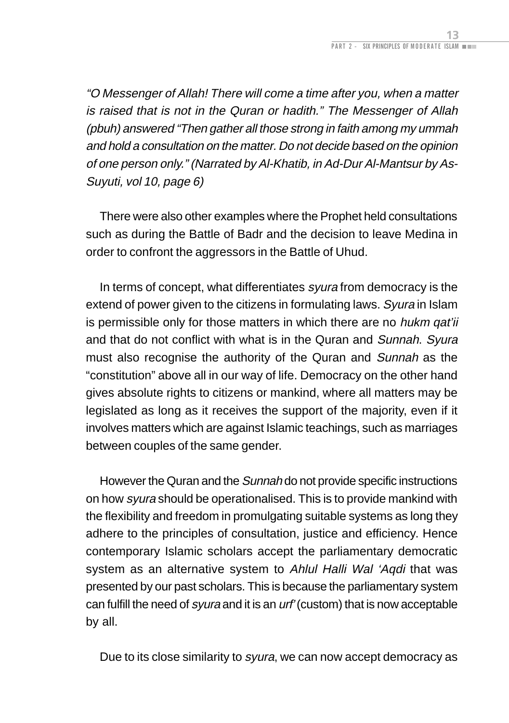"O Messenger of Allah! There will come a time after you, when a matter is raised that is not in the Quran or hadith." The Messenger of Allah (pbuh) answered "Then gather all those strong in faith among my ummah and hold a consultation on the matter. Do not decide based on the opinion of one person only." (Narrated by Al-Khatib, in Ad-Dur Al-Mantsur by As-Suyuti, vol 10, page 6)

There were also other examples where the Prophet held consultations such as during the Battle of Badr and the decision to leave Medina in order to confront the aggressors in the Battle of Uhud.

In terms of concept, what differentiates syura from democracy is the extend of power given to the citizens in formulating laws. Syura in Islam is permissible only for those matters in which there are no hukm gat'ii and that do not conflict with what is in the Quran and Sunnah. Syura must also recognise the authority of the Quran and Sunnah as the "constitution" above all in our way of life. Democracy on the other hand gives absolute rights to citizens or mankind, where all matters may be legislated as long as it receives the support of the majority, even if it involves matters which are against Islamic teachings, such as marriages between couples of the same gender.

However the Quran and the Sunnah do not provide specific instructions on how syura should be operationalised. This is to provide mankind with the flexibility and freedom in promulgating suitable systems as long they adhere to the principles of consultation, justice and efficiency. Hence contemporary Islamic scholars accept the parliamentary democratic system as an alternative system to Ahlul Halli Wal 'Aqdi that was presented by our past scholars. This is because the parliamentary system can fulfill the need of syura and it is an urf' (custom) that is now acceptable by all.

Due to its close similarity to syura, we can now accept democracy as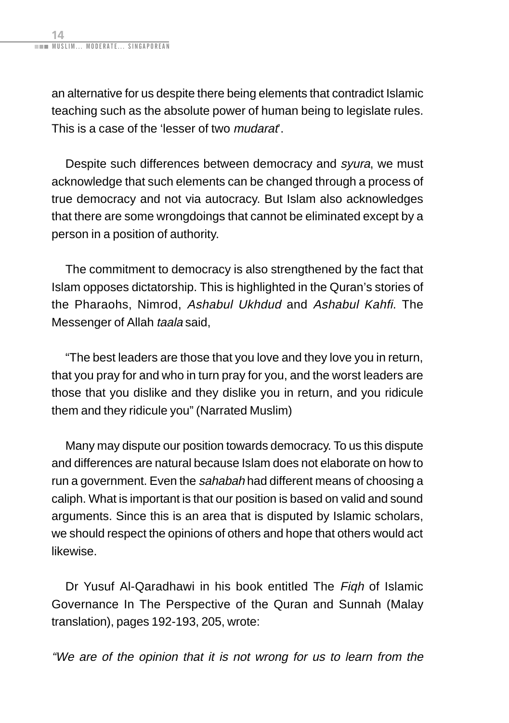an alternative for us despite there being elements that contradict Islamic teaching such as the absolute power of human being to legislate rules. This is a case of the 'lesser of two *mudarat*'.

Despite such differences between democracy and syura, we must acknowledge that such elements can be changed through a process of true democracy and not via autocracy. But Islam also acknowledges that there are some wrongdoings that cannot be eliminated except by a person in a position of authority.

The commitment to democracy is also strengthened by the fact that Islam opposes dictatorship. This is highlighted in the Quran's stories of the Pharaohs, Nimrod, Ashabul Ukhdud and Ashabul Kahfi. The Messenger of Allah taala said,

"The best leaders are those that you love and they love you in return, that you pray for and who in turn pray for you, and the worst leaders are those that you dislike and they dislike you in return, and you ridicule them and they ridicule you" (Narrated Muslim)

Many may dispute our position towards democracy. To us this dispute and differences are natural because Islam does not elaborate on how to run a government. Even the sahabah had different means of choosing a caliph. What is important is that our position is based on valid and sound arguments. Since this is an area that is disputed by Islamic scholars, we should respect the opinions of others and hope that others would act likewise.

Dr Yusuf Al-Qaradhawi in his book entitled The Figh of Islamic Governance In The Perspective of the Quran and Sunnah (Malay translation), pages 192-193, 205, wrote:

"We are of the opinion that it is not wrong for us to learn from the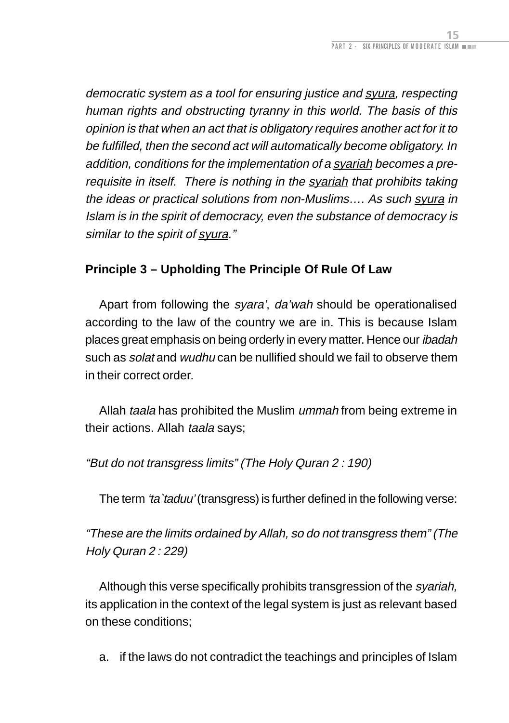<span id="page-27-0"></span>democratic system as a tool for ensuring justice and syura, respecting human rights and obstructing tyranny in this world. The basis of this opinion is that when an act that is obligatory requires another act for it to be fulfilled, then the second act will automatically become obligatory. In addition, conditions for the implementation of a syariah becomes a prerequisite in itself. There is nothing in the syariah that prohibits taking the ideas or practical solutions from non-Muslims…. As such syura in Islam is in the spirit of democracy, even the substance of democracy is similar to the spirit of syura."

### **Principle 3 – Upholding The Principle Of Rule Of Law**

Apart from following the syara', da'wah should be operationalised according to the law of the country we are in. This is because Islam places great emphasis on being orderly in every matter. Hence our ibadah such as *solat* and *wudhu* can be nullified should we fail to observe them in their correct order.

Allah taala has prohibited the Muslim ummah from being extreme in their actions. Allah taala says;

### "But do not transgress limits" (The Holy Quran 2 : 190)

The term 'ta`taduu' (transgress) is further defined in the following verse:

"These are the limits ordained by Allah, so do not transgress them" (The Holy Quran 2 : 229)

Although this verse specifically prohibits transgression of the syariah, its application in the context of the legal system is just as relevant based on these conditions;

a. if the laws do not contradict the teachings and principles of Islam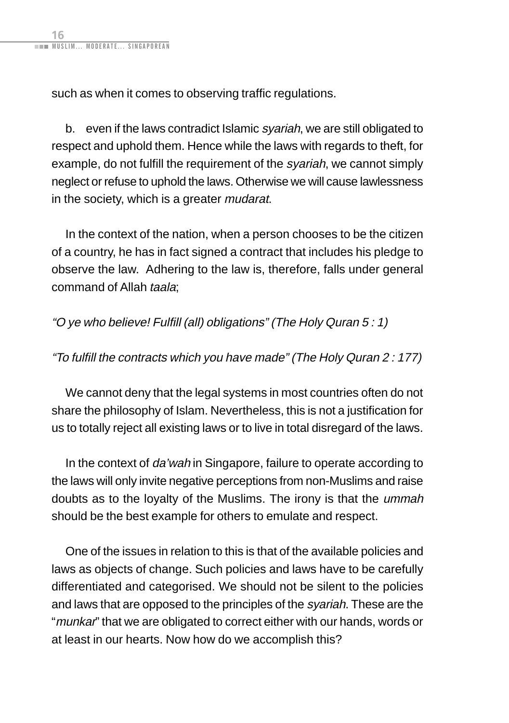such as when it comes to observing traffic regulations.

b. even if the laws contradict Islamic syariah, we are still obligated to respect and uphold them. Hence while the laws with regards to theft, for example, do not fulfill the requirement of the *svariah*, we cannot simply neglect or refuse to uphold the laws. Otherwise we will cause lawlessness in the society, which is a greater *mudarat*.

In the context of the nation, when a person chooses to be the citizen of a country, he has in fact signed a contract that includes his pledge to observe the law. Adhering to the law is, therefore, falls under general command of Allah taala;

"O ye who believe! Fulfill (all) obligations" (The Holy Quran 5 : 1)

"To fulfill the contracts which you have made" (The Holy Quran 2 : 177)

We cannot deny that the legal systems in most countries often do not share the philosophy of Islam. Nevertheless, this is not a justification for us to totally reject all existing laws or to live in total disregard of the laws.

In the context of da'wah in Singapore, failure to operate according to the laws will only invite negative perceptions from non-Muslims and raise doubts as to the loyalty of the Muslims. The irony is that the ummah should be the best example for others to emulate and respect.

One of the issues in relation to this is that of the available policies and laws as objects of change. Such policies and laws have to be carefully differentiated and categorised. We should not be silent to the policies and laws that are opposed to the principles of the syariah. These are the "munkar" that we are obligated to correct either with our hands, words or at least in our hearts. Now how do we accomplish this?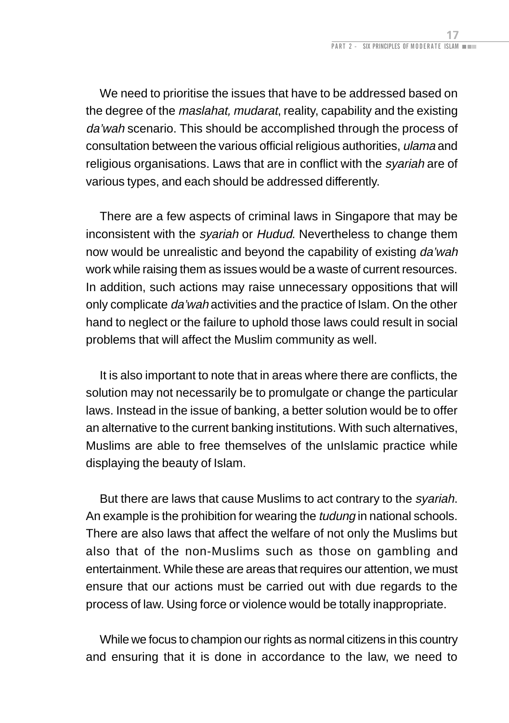We need to prioritise the issues that have to be addressed based on the degree of the *maslahat, mudarat*, reality, capability and the existing da'wah scenario. This should be accomplished through the process of consultation between the various official religious authorities, *ulama* and religious organisations. Laws that are in conflict with the *svariah* are of various types, and each should be addressed differently.

There are a few aspects of criminal laws in Singapore that may be inconsistent with the *syariah* or Hudud. Nevertheless to change them now would be unrealistic and beyond the capability of existing da'wah work while raising them as issues would be a waste of current resources. In addition, such actions may raise unnecessary oppositions that will only complicate da'wah activities and the practice of Islam. On the other hand to neglect or the failure to uphold those laws could result in social problems that will affect the Muslim community as well.

It is also important to note that in areas where there are conflicts, the solution may not necessarily be to promulgate or change the particular laws. Instead in the issue of banking, a better solution would be to offer an alternative to the current banking institutions. With such alternatives, Muslims are able to free themselves of the unIslamic practice while displaying the beauty of Islam.

But there are laws that cause Muslims to act contrary to the *syariah*. An example is the prohibition for wearing the tudung in national schools. There are also laws that affect the welfare of not only the Muslims but also that of the non-Muslims such as those on gambling and entertainment. While these are areas that requires our attention, we must ensure that our actions must be carried out with due regards to the process of law. Using force or violence would be totally inappropriate.

While we focus to champion our rights as normal citizens in this country and ensuring that it is done in accordance to the law, we need to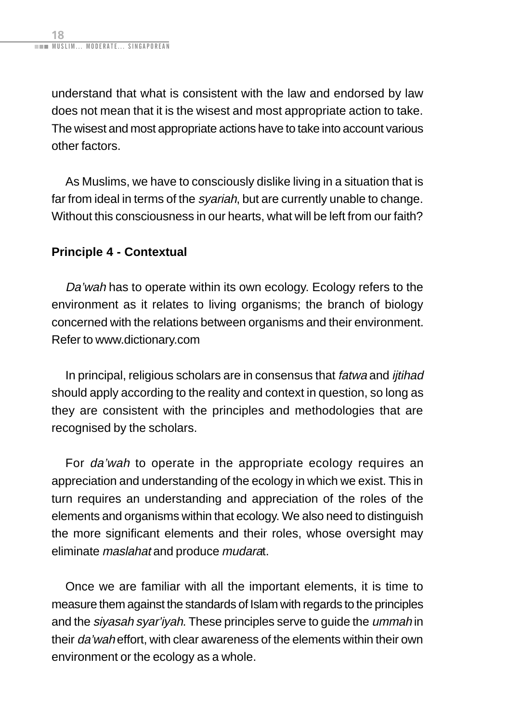<span id="page-30-0"></span>understand that what is consistent with the law and endorsed by law does not mean that it is the wisest and most appropriate action to take. The wisest and most appropriate actions have to take into account various other factors.

As Muslims, we have to consciously dislike living in a situation that is far from ideal in terms of the *syariah*, but are currently unable to change. Without this consciousness in our hearts, what will be left from our faith?

### **Principle 4 - Contextual**

Da'wah has to operate within its own ecology. Ecology refers to the environment as it relates to living organisms; the branch of biology concerned with the relations between organisms and their environment. Refer to www.dictionary.com

In principal, religious scholars are in consensus that fatwa and *ijtihad* should apply according to the reality and context in question, so long as they are consistent with the principles and methodologies that are recognised by the scholars.

For da'wah to operate in the appropriate ecology requires an appreciation and understanding of the ecology in which we exist. This in turn requires an understanding and appreciation of the roles of the elements and organisms within that ecology. We also need to distinguish the more significant elements and their roles, whose oversight may eliminate maslahat and produce mudarat.

Once we are familiar with all the important elements, it is time to measure them against the standards of Islam with regards to the principles and the siyasah syar'iyah. These principles serve to quide the *ummah* in their da'wah effort, with clear awareness of the elements within their own environment or the ecology as a whole.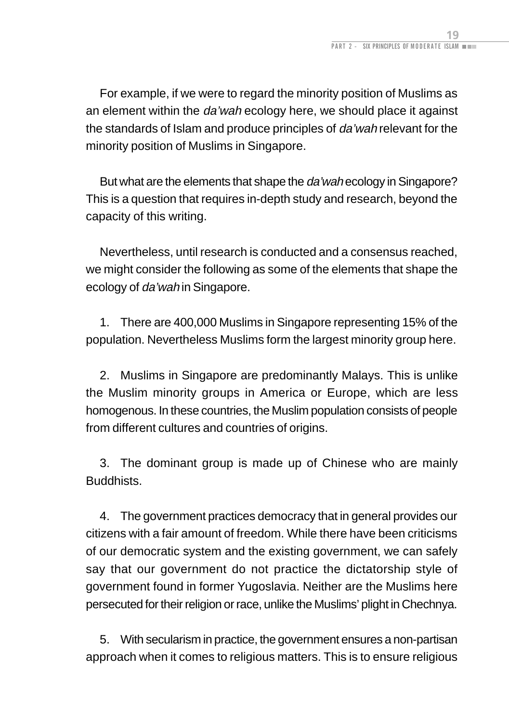For example, if we were to regard the minority position of Muslims as an element within the *da'wah* ecology here, we should place it against the standards of Islam and produce principles of da'wah relevant for the minority position of Muslims in Singapore.

But what are the elements that shape the da'wah ecology in Singapore? This is a question that requires in-depth study and research, beyond the capacity of this writing.

Nevertheless, until research is conducted and a consensus reached, we might consider the following as some of the elements that shape the ecology of da'wah in Singapore.

1. There are 400,000 Muslims in Singapore representing 15% of the population. Nevertheless Muslims form the largest minority group here.

2. Muslims in Singapore are predominantly Malays. This is unlike the Muslim minority groups in America or Europe, which are less homogenous. In these countries, the Muslim population consists of people from different cultures and countries of origins.

3. The dominant group is made up of Chinese who are mainly Buddhists.

4. The government practices democracy that in general provides our citizens with a fair amount of freedom. While there have been criticisms of our democratic system and the existing government, we can safely say that our government do not practice the dictatorship style of government found in former Yugoslavia. Neither are the Muslims here persecuted for their religion or race, unlike the Muslims' plight in Chechnya.

5. With secularism in practice, the government ensures a non-partisan approach when it comes to religious matters. This is to ensure religious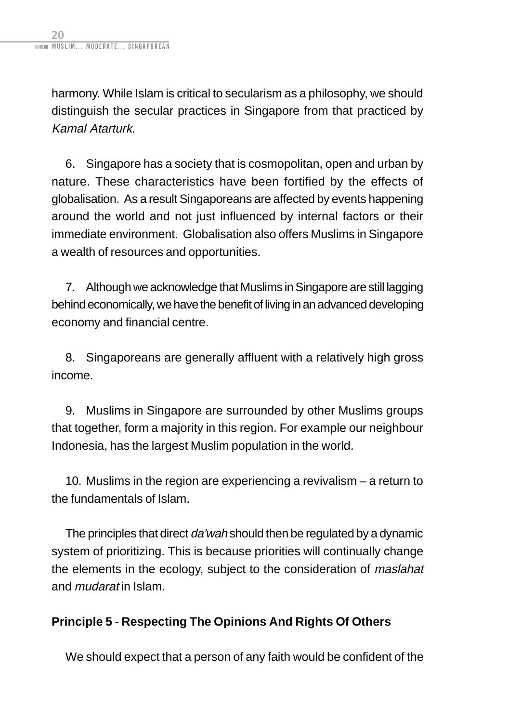<span id="page-32-0"></span>harmony. While Islam is critical to secularism as a philosophy, we should distinguish the secular practices in Singapore from that practiced by Kamal Atarturk.

6. Singapore has a society that is cosmopolitan, open and urban by nature. These characteristics have been fortified by the effects of globalisation. As a result Singaporeans are affected by events happening around the world and not just influenced by internal factors or their immediate environment. Globalisation also offers Muslims in Singapore a wealth of resources and opportunities.

7. Although we acknowledge that Muslims in Singapore are still lagging behind economically, we have the benefit of living in an advanced developing economy and financial centre.

8. Singaporeans are generally affluent with a relatively high gross income.

9. Muslims in Singapore are surrounded by other Muslims groups that together, form a majority in this region. For example our neighbour Indonesia, has the largest Muslim population in the world.

10. Muslims in the region are experiencing a revivalism – a return to the fundamentals of Islam.

The principles that direct da'wah should then be regulated by a dynamic system of prioritizing. This is because priorities will continually change the elements in the ecology, subject to the consideration of maslahat and mudarat in Islam.

### **Principle 5 - Respecting The Opinions And Rights Of Others**

We should expect that a person of any faith would be confident of the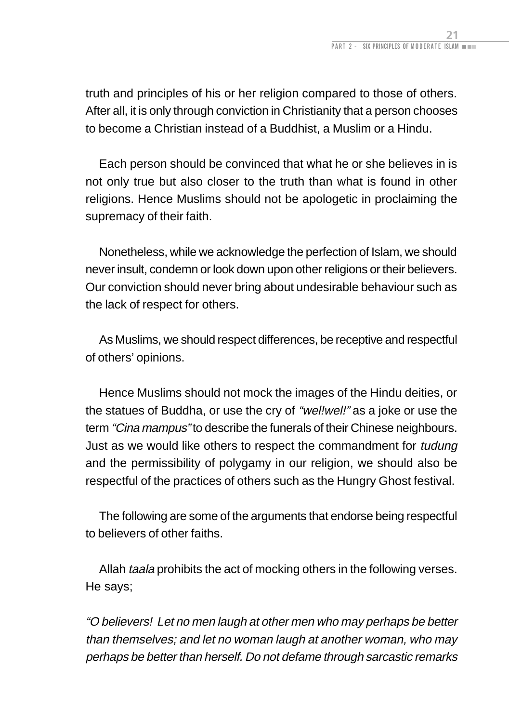truth and principles of his or her religion compared to those of others. After all, it is only through conviction in Christianity that a person chooses to become a Christian instead of a Buddhist, a Muslim or a Hindu.

Each person should be convinced that what he or she believes in is not only true but also closer to the truth than what is found in other religions. Hence Muslims should not be apologetic in proclaiming the supremacy of their faith.

Nonetheless, while we acknowledge the perfection of Islam, we should never insult, condemn or look down upon other religions or their believers. Our conviction should never bring about undesirable behaviour such as the lack of respect for others.

As Muslims, we should respect differences, be receptive and respectful of others' opinions.

Hence Muslims should not mock the images of the Hindu deities, or the statues of Buddha, or use the cry of "wel!wel!" as a joke or use the term "Cina mampus" to describe the funerals of their Chinese neighbours. Just as we would like others to respect the commandment for tudung and the permissibility of polygamy in our religion, we should also be respectful of the practices of others such as the Hungry Ghost festival.

The following are some of the arguments that endorse being respectful to believers of other faiths.

Allah *taala* prohibits the act of mocking others in the following verses. He says;

"O believers! Let no men laugh at other men who may perhaps be better than themselves; and let no woman laugh at another woman, who may perhaps be better than herself. Do not defame through sarcastic remarks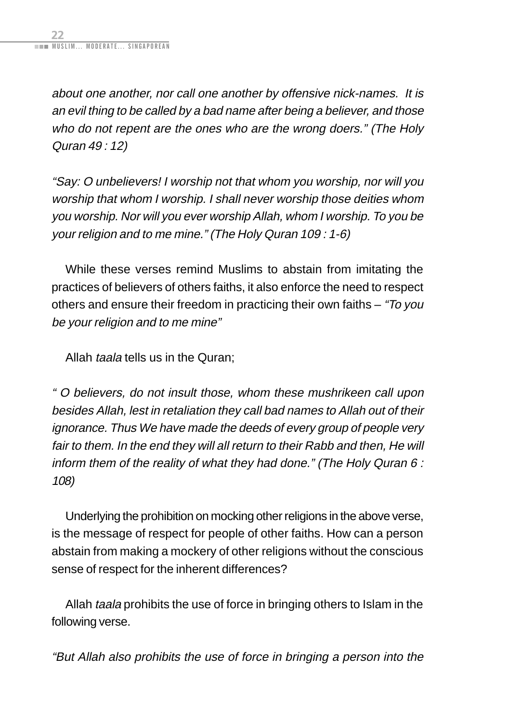about one another, nor call one another by offensive nick-names. It is an evil thing to be called by a bad name after being a believer, and those who do not repent are the ones who are the wrong doers." (The Holy Quran 49 : 12)

"Say: O unbelievers! I worship not that whom you worship, nor will you worship that whom I worship. I shall never worship those deities whom you worship. Nor will you ever worship Allah, whom I worship. To you be your religion and to me mine." (The Holy Quran 109 : 1-6)

While these verses remind Muslims to abstain from imitating the practices of believers of others faiths, it also enforce the need to respect others and ensure their freedom in practicing their own faiths – "To you be your religion and to me mine"

Allah taala tells us in the Quran;

" O believers, do not insult those, whom these mushrikeen call upon besides Allah, lest in retaliation they call bad names to Allah out of their ignorance. Thus We have made the deeds of every group of people very fair to them. In the end they will all return to their Rabb and then, He will inform them of the reality of what they had done." (The Holy Quran 6 : 108)

Underlying the prohibition on mocking other religions in the above verse, is the message of respect for people of other faiths. How can a person abstain from making a mockery of other religions without the conscious sense of respect for the inherent differences?

Allah taala prohibits the use of force in bringing others to Islam in the following verse.

"But Allah also prohibits the use of force in bringing a person into the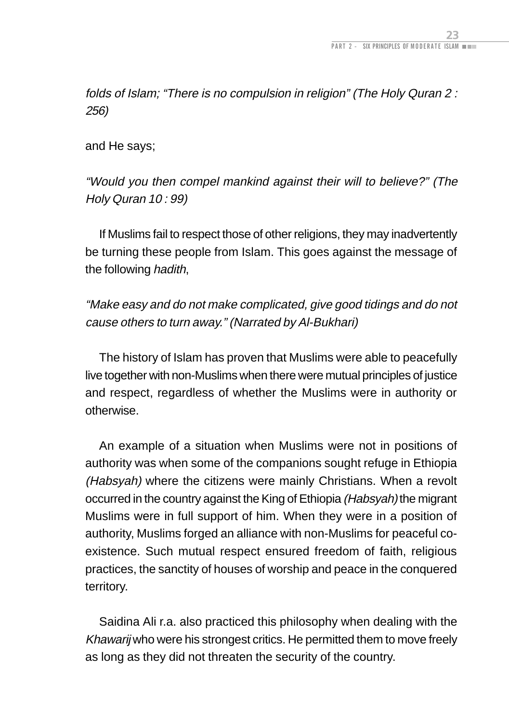folds of Islam; "There is no compulsion in religion" (The Holy Quran 2 : 256)

and He says;

"Would you then compel mankind against their will to believe?" (The Holy Quran 10 : 99)

If Muslims fail to respect those of other religions, they may inadvertently be turning these people from Islam. This goes against the message of the following hadith,

"Make easy and do not make complicated, give good tidings and do not cause others to turn away." (Narrated by Al-Bukhari)

The history of Islam has proven that Muslims were able to peacefully live together with non-Muslims when there were mutual principles of justice and respect, regardless of whether the Muslims were in authority or otherwise.

An example of a situation when Muslims were not in positions of authority was when some of the companions sought refuge in Ethiopia (Habsyah) where the citizens were mainly Christians. When a revolt occurred in the country against the King of Ethiopia (Habsyah) the migrant Muslims were in full support of him. When they were in a position of authority, Muslims forged an alliance with non-Muslims for peaceful coexistence. Such mutual respect ensured freedom of faith, religious practices, the sanctity of houses of worship and peace in the conquered territory.

Saidina Ali r.a. also practiced this philosophy when dealing with the Khawarij who were his strongest critics. He permitted them to move freely as long as they did not threaten the security of the country.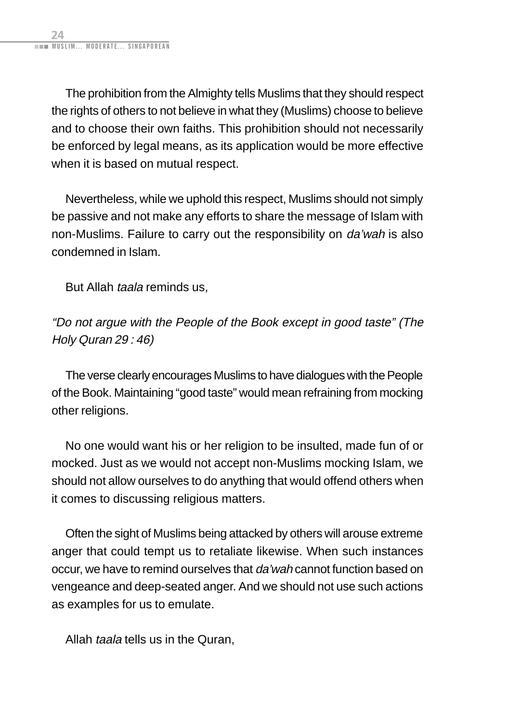The prohibition from the Almighty tells Muslims that they should respect the rights of others to not believe in what they (Muslims) choose to believe and to choose their own faiths. This prohibition should not necessarily be enforced by legal means, as its application would be more effective when it is based on mutual respect.

Nevertheless, while we uphold this respect, Muslims should not simply be passive and not make any efforts to share the message of Islam with non-Muslims. Failure to carry out the responsibility on da'wah is also condemned in Islam.

But Allah taala reminds us,

"Do not argue with the People of the Book except in good taste" (The Holy Quran 29 : 46)

The verse clearly encourages Muslims to have dialogues with the People of the Book. Maintaining "good taste" would mean refraining from mocking other religions.

No one would want his or her religion to be insulted, made fun of or mocked. Just as we would not accept non-Muslims mocking Islam, we should not allow ourselves to do anything that would offend others when it comes to discussing religious matters.

Often the sight of Muslims being attacked by others will arouse extreme anger that could tempt us to retaliate likewise. When such instances occur, we have to remind ourselves that da'wah cannot function based on vengeance and deep-seated anger. And we should not use such actions as examples for us to emulate.

Allah *taala* tells us in the Quran,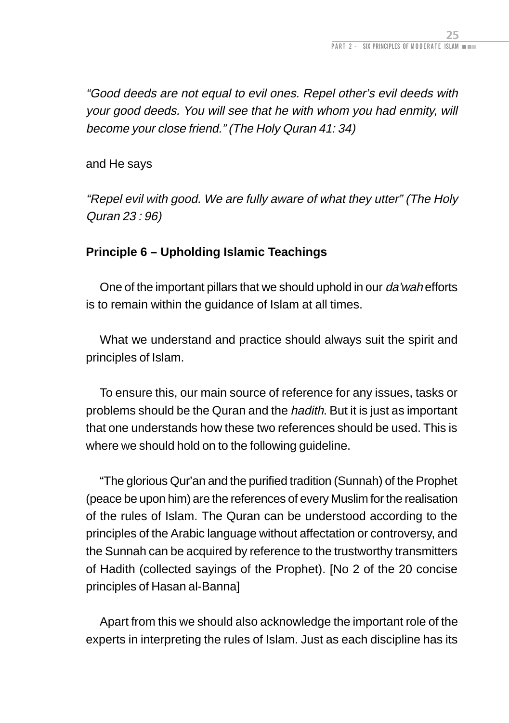<span id="page-37-0"></span>"Good deeds are not equal to evil ones. Repel other's evil deeds with your good deeds. You will see that he with whom you had enmity, will become your close friend." (The Holy Quran 41: 34)

and He says

"Repel evil with good. We are fully aware of what they utter" (The Holy Quran 23 : 96)

### **Principle 6 – Upholding Islamic Teachings**

One of the important pillars that we should uphold in our da'wah efforts is to remain within the guidance of Islam at all times.

What we understand and practice should always suit the spirit and principles of Islam.

To ensure this, our main source of reference for any issues, tasks or problems should be the Quran and the *hadith*. But it is just as important that one understands how these two references should be used. This is where we should hold on to the following guideline.

"The glorious Qur'an and the purified tradition (Sunnah) of the Prophet (peace be upon him) are the references of every Muslim for the realisation of the rules of Islam. The Quran can be understood according to the principles of the Arabic language without affectation or controversy, and the Sunnah can be acquired by reference to the trustworthy transmitters of Hadith (collected sayings of the Prophet). [No 2 of the 20 concise principles of Hasan al-Banna]

Apart from this we should also acknowledge the important role of the experts in interpreting the rules of Islam. Just as each discipline has its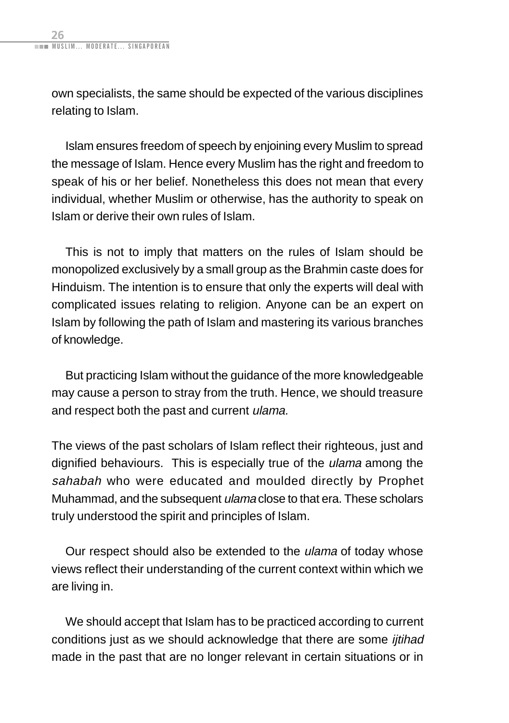own specialists, the same should be expected of the various disciplines relating to Islam.

Islam ensures freedom of speech by enjoining every Muslim to spread the message of Islam. Hence every Muslim has the right and freedom to speak of his or her belief. Nonetheless this does not mean that every individual, whether Muslim or otherwise, has the authority to speak on Islam or derive their own rules of Islam.

This is not to imply that matters on the rules of Islam should be monopolized exclusively by a small group as the Brahmin caste does for Hinduism. The intention is to ensure that only the experts will deal with complicated issues relating to religion. Anyone can be an expert on Islam by following the path of Islam and mastering its various branches of knowledge.

But practicing Islam without the guidance of the more knowledgeable may cause a person to stray from the truth. Hence, we should treasure and respect both the past and current ulama.

The views of the past scholars of Islam reflect their righteous, just and dignified behaviours. This is especially true of the ulama among the sahabah who were educated and moulded directly by Prophet Muhammad, and the subsequent ulama close to that era. These scholars truly understood the spirit and principles of Islam.

Our respect should also be extended to the ulama of today whose views reflect their understanding of the current context within which we are living in.

We should accept that Islam has to be practiced according to current conditions just as we should acknowledge that there are some *ijtihad* made in the past that are no longer relevant in certain situations or in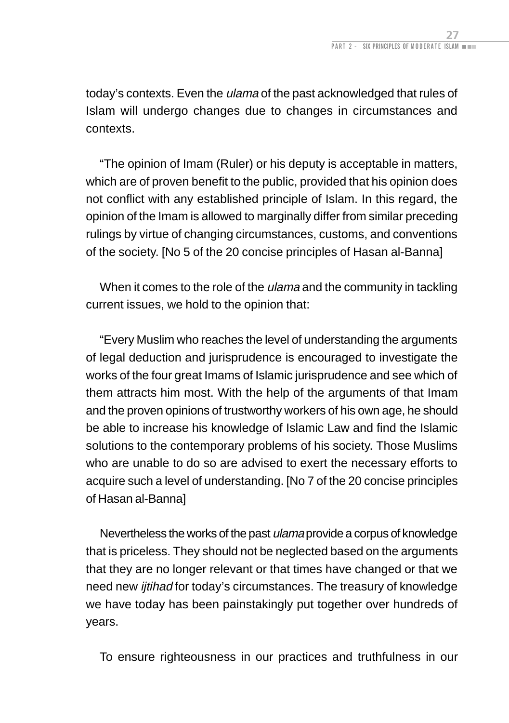today's contexts. Even the ulama of the past acknowledged that rules of Islam will undergo changes due to changes in circumstances and contexts.

"The opinion of Imam (Ruler) or his deputy is acceptable in matters, which are of proven benefit to the public, provided that his opinion does not conflict with any established principle of Islam. In this regard, the opinion of the Imam is allowed to marginally differ from similar preceding rulings by virtue of changing circumstances, customs, and conventions of the society. [No 5 of the 20 concise principles of Hasan al-Banna]

When it comes to the role of the *ulama* and the community in tackling current issues, we hold to the opinion that:

"Every Muslim who reaches the level of understanding the arguments of legal deduction and jurisprudence is encouraged to investigate the works of the four great Imams of Islamic jurisprudence and see which of them attracts him most. With the help of the arguments of that Imam and the proven opinions of trustworthy workers of his own age, he should be able to increase his knowledge of Islamic Law and find the Islamic solutions to the contemporary problems of his society. Those Muslims who are unable to do so are advised to exert the necessary efforts to acquire such a level of understanding. [No 7 of the 20 concise principles of Hasan al-Banna]

Nevertheless the works of the past ulama provide a corpus of knowledge that is priceless. They should not be neglected based on the arguments that they are no longer relevant or that times have changed or that we need new *ijtihad* for today's circumstances. The treasury of knowledge we have today has been painstakingly put together over hundreds of years.

To ensure righteousness in our practices and truthfulness in our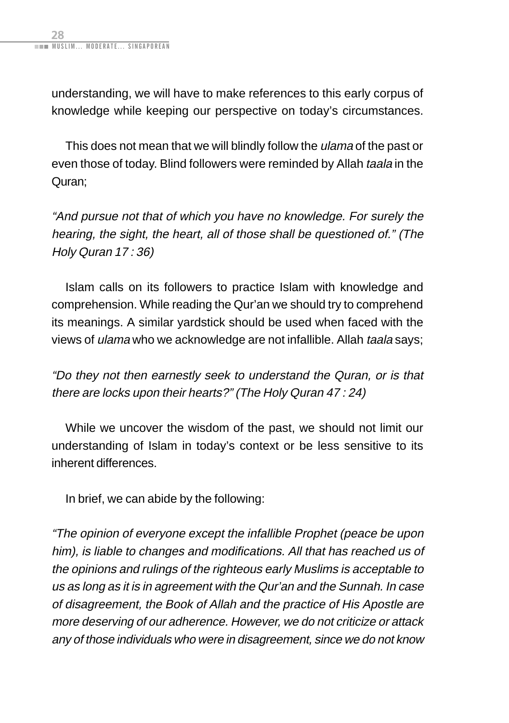understanding, we will have to make references to this early corpus of knowledge while keeping our perspective on today's circumstances.

This does not mean that we will blindly follow the ulama of the past or even those of today. Blind followers were reminded by Allah taala in the Quran;

"And pursue not that of which you have no knowledge. For surely the hearing, the sight, the heart, all of those shall be questioned of." (The Holy Quran 17 : 36)

Islam calls on its followers to practice Islam with knowledge and comprehension. While reading the Qur'an we should try to comprehend its meanings. A similar yardstick should be used when faced with the views of ulama who we acknowledge are not infallible. Allah taala says;

"Do they not then earnestly seek to understand the Quran, or is that there are locks upon their hearts?" (The Holy Quran 47 : 24)

While we uncover the wisdom of the past, we should not limit our understanding of Islam in today's context or be less sensitive to its inherent differences.

In brief, we can abide by the following:

"The opinion of everyone except the infallible Prophet (peace be upon him), is liable to changes and modifications. All that has reached us of the opinions and rulings of the righteous early Muslims is acceptable to us as long as it is in agreement with the Qur'an and the Sunnah. In case of disagreement, the Book of Allah and the practice of His Apostle are more deserving of our adherence. However, we do not criticize or attack any of those individuals who were in disagreement, since we do not know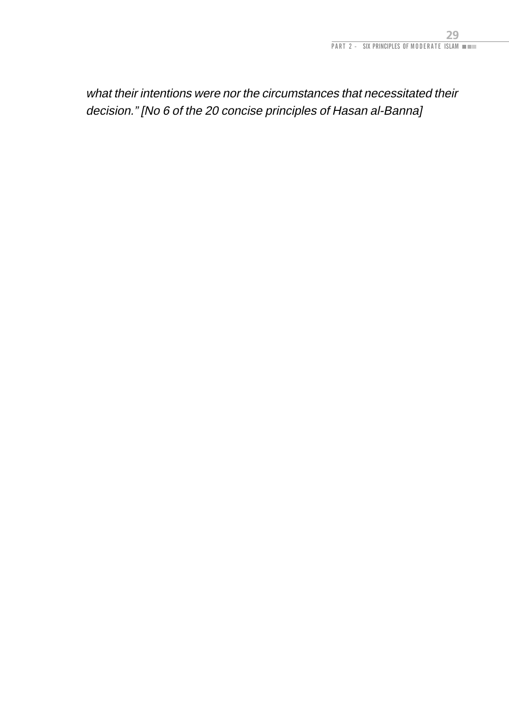what their intentions were nor the circumstances that necessitated their decision." [No 6 of the 20 concise principles of Hasan al-Banna]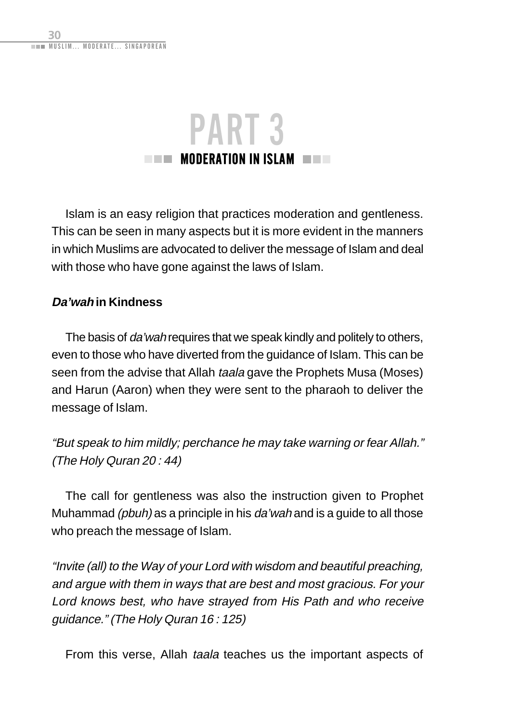<span id="page-42-0"></span>

Islam is an easy religion that practices moderation and gentleness. This can be seen in many aspects but it is more evident in the manners in which Muslims are advocated to deliver the message of Islam and deal with those who have gone against the laws of Islam.

### **Da'wah in Kindness**

The basis of da'wah requires that we speak kindly and politely to others, even to those who have diverted from the guidance of Islam. This can be seen from the advise that Allah taala gave the Prophets Musa (Moses) and Harun (Aaron) when they were sent to the pharaoh to deliver the message of Islam.

"But speak to him mildly; perchance he may take warning or fear Allah." (The Holy Quran 20 : 44)

The call for gentleness was also the instruction given to Prophet Muhammad *(pbuh)* as a principle in his *da'wah* and is a quide to all those who preach the message of Islam.

"Invite (all) to the Way of your Lord with wisdom and beautiful preaching, and argue with them in ways that are best and most gracious. For your Lord knows best, who have strayed from His Path and who receive guidance." (The Holy Quran 16 : 125)

From this verse, Allah taala teaches us the important aspects of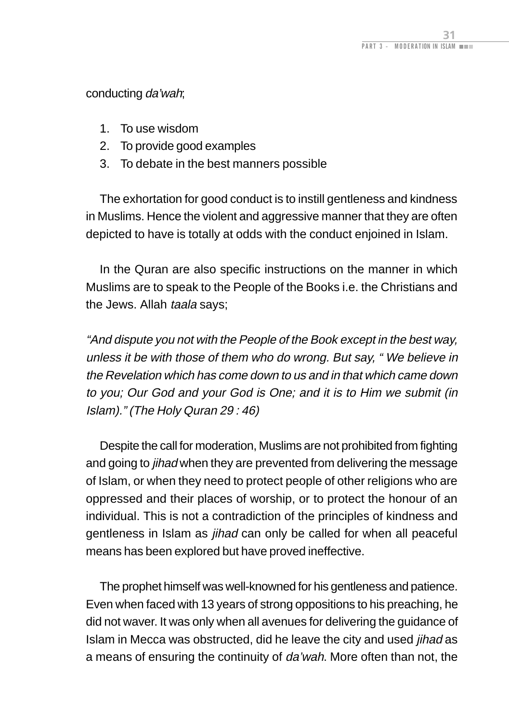conducting da'wah;

- 1. To use wisdom
- 2. To provide good examples
- 3. To debate in the best manners possible

The exhortation for good conduct is to instill gentleness and kindness in Muslims. Hence the violent and aggressive manner that they are often depicted to have is totally at odds with the conduct enjoined in Islam.

In the Quran are also specific instructions on the manner in which Muslims are to speak to the People of the Books i.e. the Christians and the Jews. Allah taala says;

"And dispute you not with the People of the Book except in the best way, unless it be with those of them who do wrong. But say, " We believe in the Revelation which has come down to us and in that which came down to you; Our God and your God is One; and it is to Him we submit (in Islam)." (The Holy Quran 29 : 46)

Despite the call for moderation, Muslims are not prohibited from fighting and going to *jihad* when they are prevented from delivering the message of Islam, or when they need to protect people of other religions who are oppressed and their places of worship, or to protect the honour of an individual. This is not a contradiction of the principles of kindness and gentleness in Islam as jihad can only be called for when all peaceful means has been explored but have proved ineffective.

The prophet himself was well-knowned for his gentleness and patience. Even when faced with 13 years of strong oppositions to his preaching, he did not waver. It was only when all avenues for delivering the guidance of Islam in Mecca was obstructed, did he leave the city and used jihad as a means of ensuring the continuity of *da'wah*. More often than not, the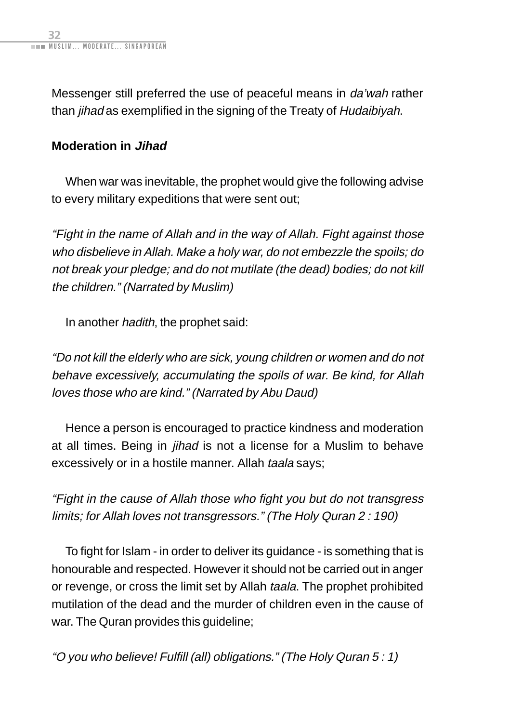<span id="page-44-0"></span>Messenger still preferred the use of peaceful means in da'wah rather than *jihad* as exemplified in the signing of the Treaty of Hudaibiyah.

### **Moderation in Jihad**

When war was inevitable, the prophet would give the following advise to every military expeditions that were sent out;

"Fight in the name of Allah and in the way of Allah. Fight against those who disbelieve in Allah. Make a holy war, do not embezzle the spoils; do not break your pledge; and do not mutilate (the dead) bodies; do not kill the children." (Narrated by Muslim)

In another hadith, the prophet said:

"Do not kill the elderly who are sick, young children or women and do not behave excessively, accumulating the spoils of war. Be kind, for Allah loves those who are kind." (Narrated by Abu Daud)

Hence a person is encouraged to practice kindness and moderation at all times. Being in *jihad* is not a license for a Muslim to behave excessively or in a hostile manner. Allah taala says;

"Fight in the cause of Allah those who fight you but do not transgress limits; for Allah loves not transgressors." (The Holy Quran 2 : 190)

To fight for Islam - in order to deliver its guidance - is something that is honourable and respected. However it should not be carried out in anger or revenge, or cross the limit set by Allah taala. The prophet prohibited mutilation of the dead and the murder of children even in the cause of war. The Quran provides this guideline;

"O you who believe! Fulfill (all) obligations." (The Holy Quran 5 : 1)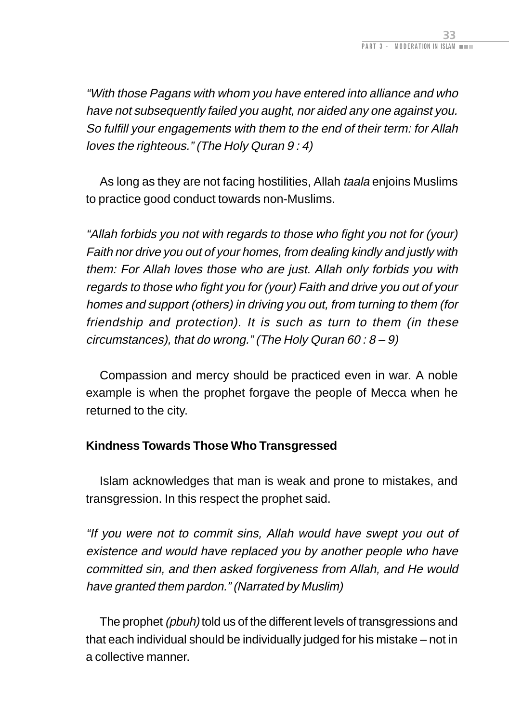<span id="page-45-0"></span>"With those Pagans with whom you have entered into alliance and who have not subsequently failed you aught, nor aided any one against you. So fulfill your engagements with them to the end of their term: for Allah loves the righteous." (The Holy Quran 9 : 4)

As long as they are not facing hostilities, Allah taala enjoins Muslims to practice good conduct towards non-Muslims.

"Allah forbids you not with regards to those who fight you not for (your) Faith nor drive you out of your homes, from dealing kindly and justly with them: For Allah loves those who are just. Allah only forbids you with regards to those who fight you for (your) Faith and drive you out of your homes and support (others) in driving you out, from turning to them (for friendship and protection). It is such as turn to them (in these circumstances), that do wrong." (The Holy Quran 60:  $8 - 9$ )

Compassion and mercy should be practiced even in war. A noble example is when the prophet forgave the people of Mecca when he returned to the city.

### **Kindness Towards Those Who Transgressed**

Islam acknowledges that man is weak and prone to mistakes, and transgression. In this respect the prophet said.

"If you were not to commit sins, Allah would have swept you out of existence and would have replaced you by another people who have committed sin, and then asked forgiveness from Allah, and He would have granted them pardon." (Narrated by Muslim)

The prophet *(pbuh)* told us of the different levels of transgressions and that each individual should be individually judged for his mistake – not in a collective manner.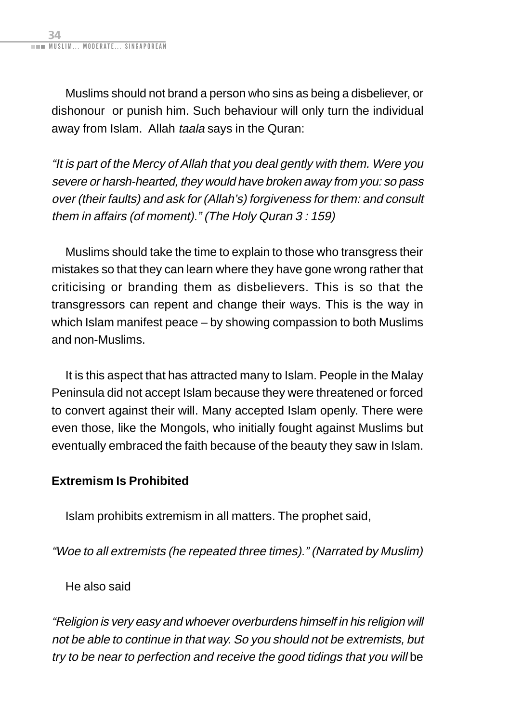<span id="page-46-0"></span>Muslims should not brand a person who sins as being a disbeliever, or dishonour or punish him. Such behaviour will only turn the individual away from Islam. Allah taala says in the Quran:

"It is part of the Mercy of Allah that you deal gently with them. Were you severe or harsh-hearted, they would have broken away from you: so pass over (their faults) and ask for (Allah's) forgiveness for them: and consult them in affairs (of moment)." (The Holy Quran 3 : 159)

Muslims should take the time to explain to those who transgress their mistakes so that they can learn where they have gone wrong rather that criticising or branding them as disbelievers. This is so that the transgressors can repent and change their ways. This is the way in which Islam manifest peace – by showing compassion to both Muslims and non-Muslims.

It is this aspect that has attracted many to Islam. People in the Malay Peninsula did not accept Islam because they were threatened or forced to convert against their will. Many accepted Islam openly. There were even those, like the Mongols, who initially fought against Muslims but eventually embraced the faith because of the beauty they saw in Islam.

### **Extremism Is Prohibited**

Islam prohibits extremism in all matters. The prophet said,

"Woe to all extremists (he repeated three times)." (Narrated by Muslim)

He also said

"Religion is very easy and whoever overburdens himself in his religion will not be able to continue in that way. So you should not be extremists, but try to be near to perfection and receive the good tidings that you will be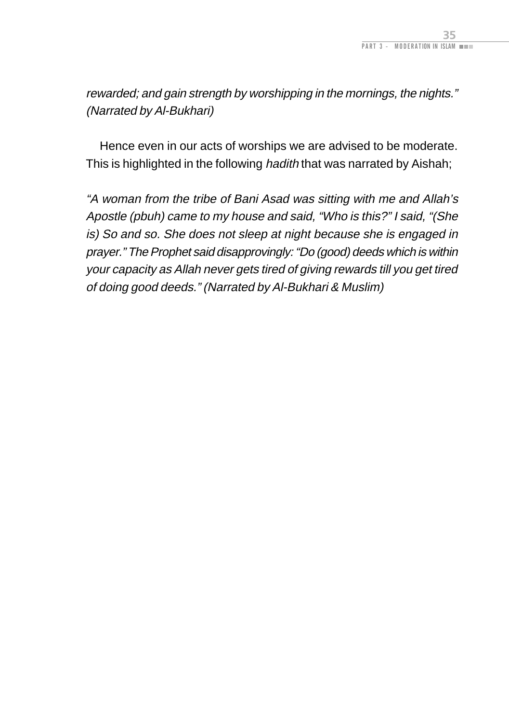rewarded; and gain strength by worshipping in the mornings, the nights." (Narrated by Al-Bukhari)

Hence even in our acts of worships we are advised to be moderate. This is highlighted in the following hadith that was narrated by Aishah;

"A woman from the tribe of Bani Asad was sitting with me and Allah's Apostle (pbuh) came to my house and said, "Who is this?" I said, "(She is) So and so. She does not sleep at night because she is engaged in prayer." The Prophet said disapprovingly: "Do (good) deeds which is within your capacity as Allah never gets tired of giving rewards till you get tired of doing good deeds." (Narrated by Al-Bukhari & Muslim)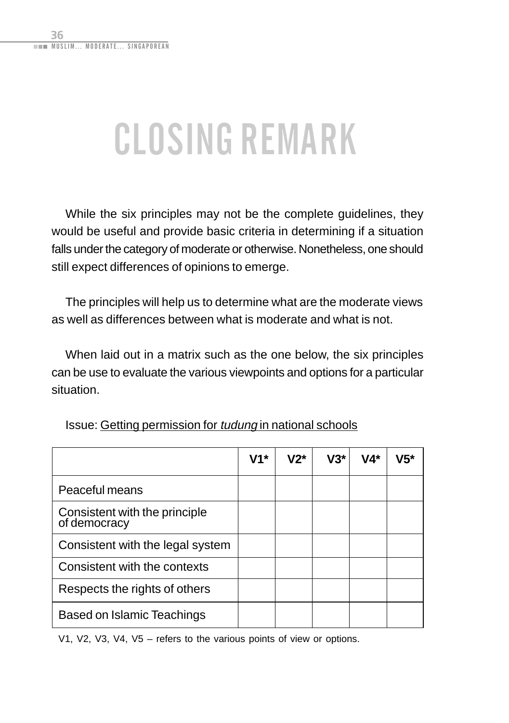# <span id="page-48-0"></span>CLOSING REMARK

While the six principles may not be the complete guidelines, they would be useful and provide basic criteria in determining if a situation falls under the category of moderate or otherwise. Nonetheless, one should still expect differences of opinions to emerge.

The principles will help us to determine what are the moderate views as well as differences between what is moderate and what is not.

When laid out in a matrix such as the one below, the six principles can be use to evaluate the various viewpoints and options for a particular situation.

|                                               | V1* | $V2^*$ | $V3*$ | V4* | V5* |
|-----------------------------------------------|-----|--------|-------|-----|-----|
| Peaceful means                                |     |        |       |     |     |
| Consistent with the principle<br>of democracy |     |        |       |     |     |
| Consistent with the legal system              |     |        |       |     |     |
| Consistent with the contexts                  |     |        |       |     |     |
| Respects the rights of others                 |     |        |       |     |     |
| Based on Islamic Teachings                    |     |        |       |     |     |

Issue: Getting permission for tudung in national schools

V1, V2, V3, V4, V5 – refers to the various points of view or options.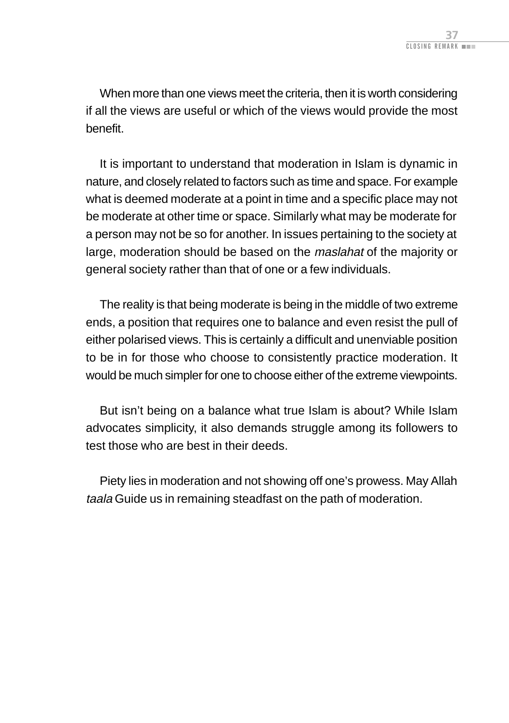When more than one views meet the criteria, then it is worth considering if all the views are useful or which of the views would provide the most benefit.

It is important to understand that moderation in Islam is dynamic in nature, and closely related to factors such as time and space. For example what is deemed moderate at a point in time and a specific place may not be moderate at other time or space. Similarly what may be moderate for a person may not be so for another. In issues pertaining to the society at large, moderation should be based on the maslahat of the majority or general society rather than that of one or a few individuals.

The reality is that being moderate is being in the middle of two extreme ends, a position that requires one to balance and even resist the pull of either polarised views. This is certainly a difficult and unenviable position to be in for those who choose to consistently practice moderation. It would be much simpler for one to choose either of the extreme viewpoints.

But isn't being on a balance what true Islam is about? While Islam advocates simplicity, it also demands struggle among its followers to test those who are best in their deeds.

Piety lies in moderation and not showing off one's prowess. May Allah taala Guide us in remaining steadfast on the path of moderation.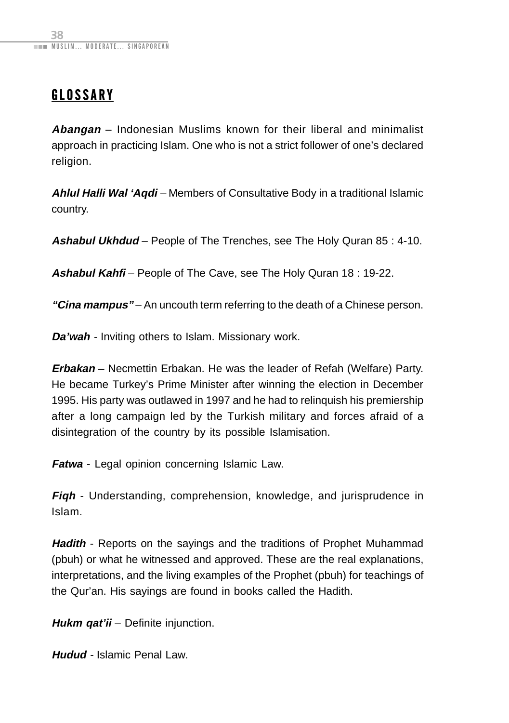### <span id="page-50-0"></span>GLOSSARY

**Abangan** – Indonesian Muslims known for their liberal and minimalist approach in practicing Islam. One who is not a strict follower of one's declared religion.

**Ahlul Halli Wal 'Aqdi** – Members of Consultative Body in a traditional Islamic country.

**Ashabul Ukhdud** – People of The Trenches, see The Holy Quran 85 : 4-10.

**Ashabul Kahfi** – People of The Cave, see The Holy Quran 18 : 19-22.

**"Cina mampus"** – An uncouth term referring to the death of a Chinese person.

**Da'wah** - Inviting others to Islam. Missionary work.

**Erbakan** – Necmettin Erbakan. He was the leader of Refah (Welfare) Party. He became Turkey's Prime Minister after winning the election in December 1995. His party was outlawed in 1997 and he had to relinquish his premiership after a long campaign led by the Turkish military and forces afraid of a disintegration of the country by its possible Islamisation.

**Fatwa** - Legal opinion concerning Islamic Law.

**Fiqh** - Understanding, comprehension, knowledge, and jurisprudence in Islam.

**Hadith** - Reports on the sayings and the traditions of Prophet Muhammad (pbuh) or what he witnessed and approved. These are the real explanations, interpretations, and the living examples of the Prophet (pbuh) for teachings of the Qur'an. His sayings are found in books called the Hadith.

**Hukm gat'ii** – Definite injunction.

**Hudud** - Islamic Penal Law.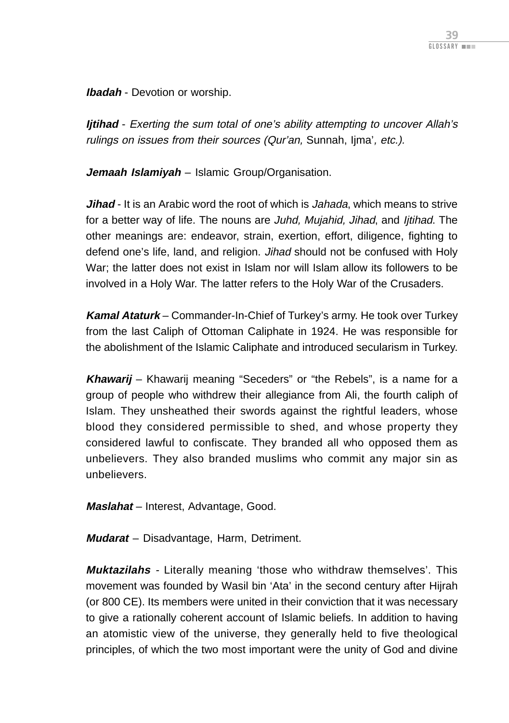**Ibadah** - Devotion or worship.

**Ijtihad** - Exerting the sum total of one's ability attempting to uncover Allah's rulings on issues from their sources (Qur'an, Sunnah, Ijma', etc.).

**Jemaah Islamiyah** – Islamic Group/Organisation.

**Jihad** - It is an Arabic word the root of which is Jahada, which means to strive for a better way of life. The nouns are Juhd, Mujahid, Jihad, and Ijtihad. The other meanings are: endeavor, strain, exertion, effort, diligence, fighting to defend one's life, land, and religion. Jihad should not be confused with Holy War; the latter does not exist in Islam nor will Islam allow its followers to be involved in a Holy War. The latter refers to the Holy War of the Crusaders.

**Kamal Ataturk** – Commander-In-Chief of Turkey's army. He took over Turkey from the last Caliph of Ottoman Caliphate in 1924. He was responsible for the abolishment of the Islamic Caliphate and introduced secularism in Turkey.

**Khawarij** – Khawarij meaning "Seceders" or "the Rebels", is a name for a group of people who withdrew their allegiance from Ali, the fourth caliph of Islam. They unsheathed their swords against the rightful leaders, whose blood they considered permissible to shed, and whose property they considered lawful to confiscate. They branded all who opposed them as unbelievers. They also branded muslims who commit any major sin as unbelievers.

**Maslahat** – Interest, Advantage, Good.

**Mudarat** – Disadvantage, Harm, Detriment.

**Muktazilahs** - Literally meaning 'those who withdraw themselves'. This movement was founded by Wasil bin 'Ata' in the second century after Hijrah (or 800 CE). Its members were united in their conviction that it was necessary to give a rationally coherent account of Islamic beliefs. In addition to having an atomistic view of the universe, they generally held to five theological principles, of which the two most important were the unity of God and divine